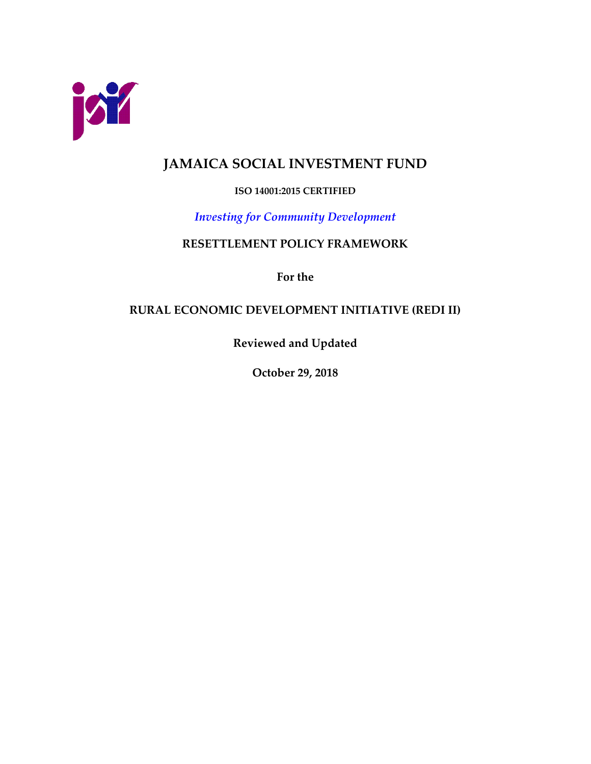

# **JAMAICA SOCIAL INVESTMENT FUND**

## **ISO 14001:2015 CERTIFIED**

## *Investing for Community Development*

## **RESETTLEMENT POLICY FRAMEWORK**

**For the** 

## **RURAL ECONOMIC DEVELOPMENT INITIATIVE (REDI II)**

**Reviewed and Updated**

**October 29, 2018**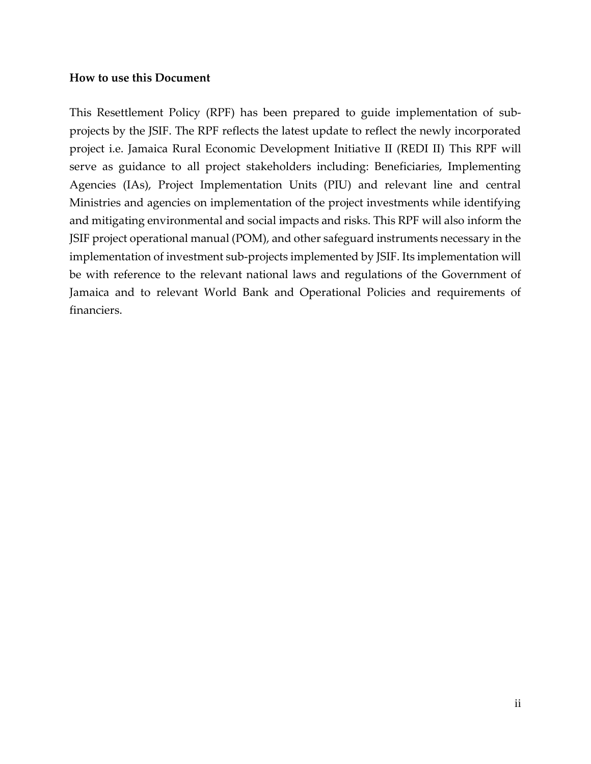#### **How to use this Document**

This Resettlement Policy (RPF) has been prepared to guide implementation of subprojects by the JSIF. The RPF reflects the latest update to reflect the newly incorporated project i.e. Jamaica Rural Economic Development Initiative II (REDI II) This RPF will serve as guidance to all project stakeholders including: Beneficiaries, Implementing Agencies (IAs), Project Implementation Units (PIU) and relevant line and central Ministries and agencies on implementation of the project investments while identifying and mitigating environmental and social impacts and risks. This RPF will also inform the JSIF project operational manual (POM), and other safeguard instruments necessary in the implementation of investment sub-projects implemented by JSIF. Its implementation will be with reference to the relevant national laws and regulations of the Government of Jamaica and to relevant World Bank and Operational Policies and requirements of financiers.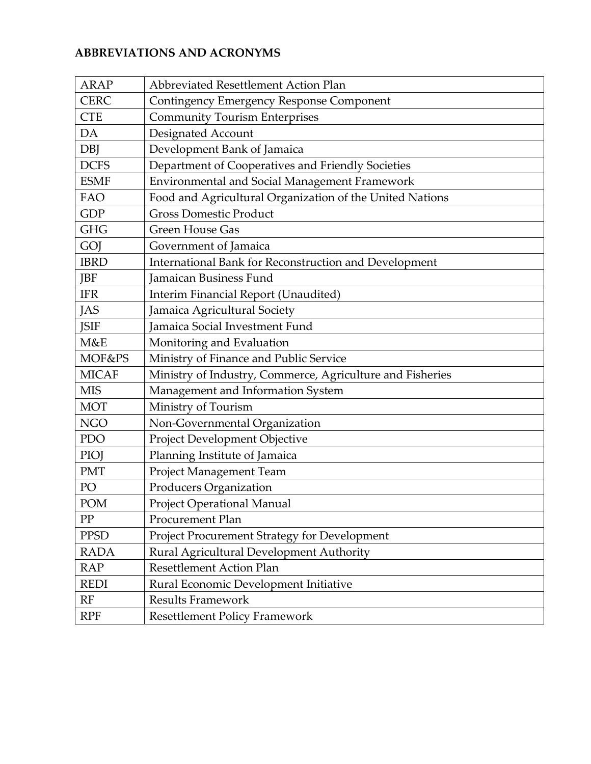## **ABBREVIATIONS AND ACRONYMS**

| <b>ARAP</b>  | Abbreviated Resettlement Action Plan                      |
|--------------|-----------------------------------------------------------|
| <b>CERC</b>  | Contingency Emergency Response Component                  |
| <b>CTE</b>   | <b>Community Tourism Enterprises</b>                      |
| DA           | Designated Account                                        |
| <b>DBJ</b>   | Development Bank of Jamaica                               |
| <b>DCFS</b>  | Department of Cooperatives and Friendly Societies         |
| <b>ESMF</b>  | Environmental and Social Management Framework             |
| FAO          | Food and Agricultural Organization of the United Nations  |
| <b>GDP</b>   | <b>Gross Domestic Product</b>                             |
| <b>GHG</b>   | <b>Green House Gas</b>                                    |
| GOJ          | Government of Jamaica                                     |
| <b>IBRD</b>  | International Bank for Reconstruction and Development     |
| <b>JBF</b>   | <b>Jamaican Business Fund</b>                             |
| <b>IFR</b>   | Interim Financial Report (Unaudited)                      |
| <b>JAS</b>   | Jamaica Agricultural Society                              |
| <b>JSIF</b>  | Jamaica Social Investment Fund                            |
| M&E          | Monitoring and Evaluation                                 |
| MOF&PS       | Ministry of Finance and Public Service                    |
| <b>MICAF</b> | Ministry of Industry, Commerce, Agriculture and Fisheries |
| <b>MIS</b>   | Management and Information System                         |
| <b>MOT</b>   | Ministry of Tourism                                       |
| <b>NGO</b>   | Non-Governmental Organization                             |
| PDO          | Project Development Objective                             |
| PIOJ         | Planning Institute of Jamaica                             |
| <b>PMT</b>   | Project Management Team                                   |
| PO           | Producers Organization                                    |
| POM          | <b>Project Operational Manual</b>                         |
| PP           | Procurement Plan                                          |
| <b>PPSD</b>  | Project Procurement Strategy for Development              |
| <b>RADA</b>  | Rural Agricultural Development Authority                  |
| <b>RAP</b>   | <b>Resettlement Action Plan</b>                           |
| <b>REDI</b>  | Rural Economic Development Initiative                     |
| RF           | <b>Results Framework</b>                                  |
| <b>RPF</b>   | <b>Resettlement Policy Framework</b>                      |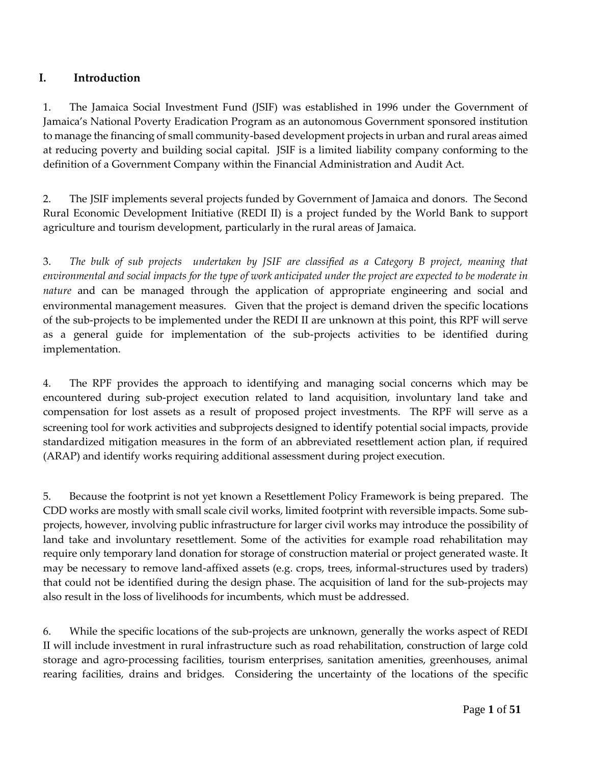## **I. Introduction**

1. The Jamaica Social Investment Fund (JSIF) was established in 1996 under the Government of Jamaica's National Poverty Eradication Program as an autonomous Government sponsored institution to manage the financing of small community-based development projects in urban and rural areas aimed at reducing poverty and building social capital. JSIF is a limited liability company conforming to the definition of a Government Company within the Financial Administration and Audit Act.

2. The JSIF implements several projects funded by Government of Jamaica and donors. The Second Rural Economic Development Initiative (REDI II) is a project funded by the World Bank to support agriculture and tourism development, particularly in the rural areas of Jamaica.

3. *The bulk of sub projects undertaken by JSIF are classified as a Category B project, meaning that environmental and social impacts for the type of work anticipated under the project are expected to be moderate in nature* and can be managed through the application of appropriate engineering and social and environmental management measures. Given that the project is demand driven the specific locations of the sub-projects to be implemented under the REDI II are unknown at this point, this RPF will serve as a general guide for implementation of the sub-projects activities to be identified during implementation.

4. The RPF provides the approach to identifying and managing social concerns which may be encountered during sub-project execution related to land acquisition, involuntary land take and compensation for lost assets as a result of proposed project investments. The RPF will serve as a screening tool for work activities and subprojects designed to identify potential social impacts, provide standardized mitigation measures in the form of an abbreviated resettlement action plan, if required (ARAP) and identify works requiring additional assessment during project execution.

5. Because the footprint is not yet known a Resettlement Policy Framework is being prepared. The CDD works are mostly with small scale civil works, limited footprint with reversible impacts. Some subprojects, however, involving public infrastructure for larger civil works may introduce the possibility of land take and involuntary resettlement. Some of the activities for example road rehabilitation may require only temporary land donation for storage of construction material or project generated waste. It may be necessary to remove land-affixed assets (e.g. crops, trees, informal-structures used by traders) that could not be identified during the design phase. The acquisition of land for the sub-projects may also result in the loss of livelihoods for incumbents, which must be addressed.

6. While the specific locations of the sub-projects are unknown, generally the works aspect of REDI II will include investment in rural infrastructure such as road rehabilitation, construction of large cold storage and agro-processing facilities, tourism enterprises, sanitation amenities, greenhouses, animal rearing facilities, drains and bridges. Considering the uncertainty of the locations of the specific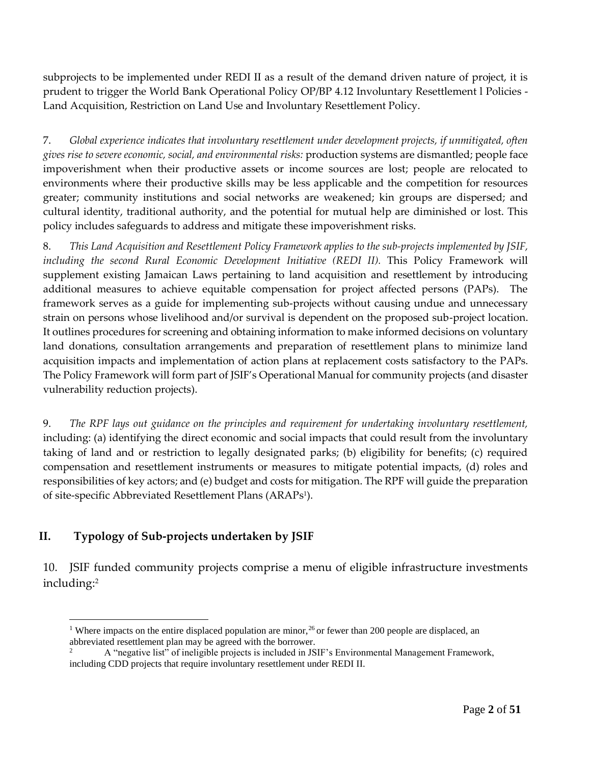subprojects to be implemented under REDI II as a result of the demand driven nature of project, it is prudent to trigger the World Bank Operational Policy OP/BP 4.12 Involuntary Resettlement l Policies - Land Acquisition, Restriction on Land Use and Involuntary Resettlement Policy.

7. *Global experience indicates that involuntary resettlement under development projects, if unmitigated, often gives rise to severe economic, social, and environmental risks:* production systems are dismantled; people face impoverishment when their productive assets or income sources are lost; people are relocated to environments where their productive skills may be less applicable and the competition for resources greater; community institutions and social networks are weakened; kin groups are dispersed; and cultural identity, traditional authority, and the potential for mutual help are diminished or lost. This policy includes safeguards to address and mitigate these impoverishment risks.

8. *This Land Acquisition and Resettlement Policy Framework applies to the sub-projects implemented by JSIF, including the second Rural Economic Development Initiative (REDI II).* This Policy Framework will supplement existing Jamaican Laws pertaining to land acquisition and resettlement by introducing additional measures to achieve equitable compensation for project affected persons (PAPs). The framework serves as a guide for implementing sub-projects without causing undue and unnecessary strain on persons whose livelihood and/or survival is dependent on the proposed sub-project location. It outlines procedures for screening and obtaining information to make informed decisions on voluntary land donations, consultation arrangements and preparation of resettlement plans to minimize land acquisition impacts and implementation of action plans at replacement costs satisfactory to the PAPs. The Policy Framework will form part of JSIF's Operational Manual for community projects (and disaster vulnerability reduction projects).

9. *The RPF lays out guidance on the principles and requirement for undertaking involuntary resettlement,* including: (a) identifying the direct economic and social impacts that could result from the involuntary taking of land and or restriction to legally designated parks; (b) eligibility for benefits; (c) required compensation and resettlement instruments or measures to mitigate potential impacts, (d) roles and responsibilities of key actors; and (e) budget and costs for mitigation. The RPF will guide the preparation of site-specific Abbreviated Resettlement Plans (ARAPs 1 ).

## **II. Typology of Sub-projects undertaken by JSIF**

10. JSIF funded community projects comprise a menu of eligible infrastructure investments including:<sup>2</sup>

 $\overline{a}$ <sup>1</sup> Where impacts on the entire displaced population are minor,<sup>26</sup> or fewer than 200 people are displaced, an abbreviated resettlement plan may be agreed with the borrower.

<sup>2</sup> A "negative list" of ineligible projects is included in JSIF's Environmental Management Framework, including CDD projects that require involuntary resettlement under REDI II.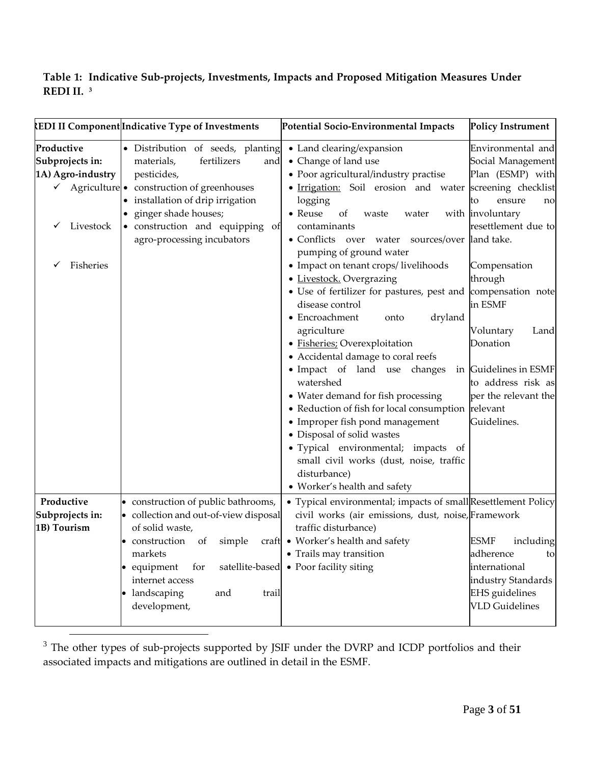## **Table 1: Indicative Sub-projects, Investments, Impacts and Proposed Mitigation Measures Under REDI II. <sup>3</sup>**

|                                                                                        | <b>REDI II Component Indicative Type of Investments</b>                                                                                                                                                                                                                      | Potential Socio-Environmental Impacts                                                                                                                                                                                                                                                                                                                                                                                                                                                                                                                                                                                                                                                                                                                                                                                                                                                                                                                                                                                                                                                                                                                                             | <b>Policy Instrument</b>                                                                                                             |
|----------------------------------------------------------------------------------------|------------------------------------------------------------------------------------------------------------------------------------------------------------------------------------------------------------------------------------------------------------------------------|-----------------------------------------------------------------------------------------------------------------------------------------------------------------------------------------------------------------------------------------------------------------------------------------------------------------------------------------------------------------------------------------------------------------------------------------------------------------------------------------------------------------------------------------------------------------------------------------------------------------------------------------------------------------------------------------------------------------------------------------------------------------------------------------------------------------------------------------------------------------------------------------------------------------------------------------------------------------------------------------------------------------------------------------------------------------------------------------------------------------------------------------------------------------------------------|--------------------------------------------------------------------------------------------------------------------------------------|
| Productive<br>Subprojects in:<br>1A) Agro-industry<br>✓<br>Livestock<br>Fisheries<br>✓ | · Distribution of seeds, planting<br>fertilizers<br>materials,<br>and<br>pesticides,<br>$\checkmark$ Agriculture • construction of greenhouses<br>• installation of drip irrigation<br>ginger shade houses;<br>· construction and equipping of<br>agro-processing incubators | • Land clearing/expansion<br>Environmental and<br>• Change of land use<br>Social Management<br>• Poor agricultural/industry practise<br>Plan (ESMP) with<br>• Irrigation: Soil erosion and water screening checklist<br>logging<br>ensure<br>to<br>• Reuse<br>with involuntary<br>of<br>waste<br>water<br>resettlement due to<br>contaminants<br>• Conflicts over water sources/over  land take.<br>pumping of ground water<br>• Impact on tenant crops/livelihoods<br>Compensation<br>• Livestock. Overgrazing<br>through<br>• Use of fertilizer for pastures, pest and<br>compensation note<br>disease control<br>in ESMF<br>• Encroachment<br>dryland<br>onto<br>agriculture<br>Voluntary<br>· Fisheries: Overexploitation<br>Donation<br>• Accidental damage to coral reefs<br>• Impact of land use changes<br>in Guidelines in ESMF<br>watershed<br>to address risk as<br>• Water demand for fish processing<br>per the relevant the<br>• Reduction of fish for local consumption relevant<br>• Improper fish pond management<br>Guidelines.<br>· Disposal of solid wastes<br>· Typical environmental; impacts of<br>small civil works (dust, noise, traffic<br>disturbance) |                                                                                                                                      |
| Productive<br>Subprojects in:                                                          | • construction of public bathrooms,<br>• collection and out-of-view disposal                                                                                                                                                                                                 | • Worker's health and safety<br>• Typical environmental; impacts of small Resettlement Policy<br>civil works (air emissions, dust, noise, Framework                                                                                                                                                                                                                                                                                                                                                                                                                                                                                                                                                                                                                                                                                                                                                                                                                                                                                                                                                                                                                               |                                                                                                                                      |
| 1B) Tourism                                                                            | of solid waste,<br>simple<br>$\bullet$ construction of<br>markets<br>• equipment<br>for<br>satellite-based<br>internet access<br>• landscaping<br>and<br>trail<br>development,                                                                                               | traffic disturbance)<br>craft • Worker's health and safety<br>• Trails may transition<br>• Poor facility siting                                                                                                                                                                                                                                                                                                                                                                                                                                                                                                                                                                                                                                                                                                                                                                                                                                                                                                                                                                                                                                                                   | <b>ESMF</b><br>including<br>adherence<br>to<br>international<br>industry Standards<br><b>EHS</b> guidelines<br><b>VLD</b> Guidelines |

 $3$  The other types of sub-projects supported by JSIF under the DVRP and ICDP portfolios and their associated impacts and mitigations are outlined in detail in the ESMF.

 $\overline{a}$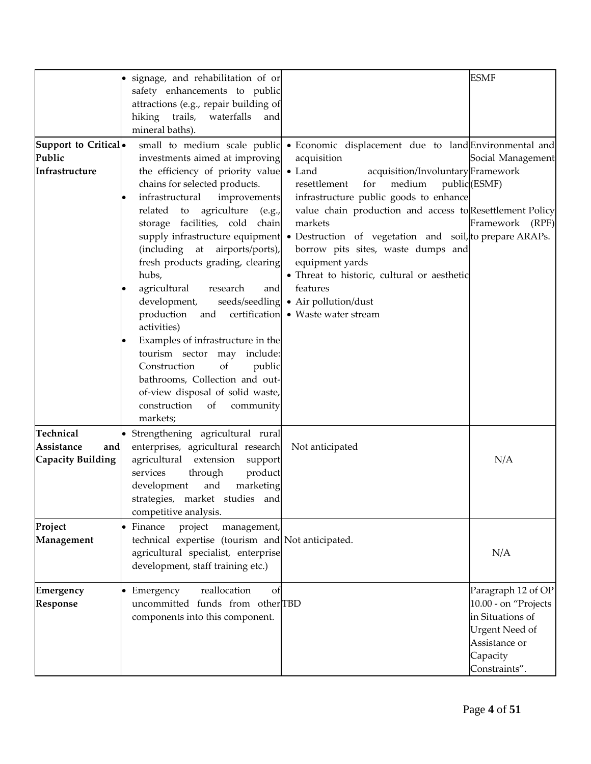|                                                              | · signage, and rehabilitation of or<br>safety enhancements to public<br>attractions (e.g., repair building of<br>hiking<br>trails, waterfalls<br>and<br>mineral baths).                                                                                                                                                                                                                                                                                                                                                                                                                                            |                                                                                                                                                                                                                                                                                                                                                                                                                                                                                                                                                                                      | <b>ESMF</b>                                                                                                                           |
|--------------------------------------------------------------|--------------------------------------------------------------------------------------------------------------------------------------------------------------------------------------------------------------------------------------------------------------------------------------------------------------------------------------------------------------------------------------------------------------------------------------------------------------------------------------------------------------------------------------------------------------------------------------------------------------------|--------------------------------------------------------------------------------------------------------------------------------------------------------------------------------------------------------------------------------------------------------------------------------------------------------------------------------------------------------------------------------------------------------------------------------------------------------------------------------------------------------------------------------------------------------------------------------------|---------------------------------------------------------------------------------------------------------------------------------------|
| Support to Critical <sup>o</sup><br>Public<br>Infrastructure | investments aimed at improving<br>the efficiency of priority value • Land<br>chains for selected products.<br>infrastructural<br>improvements<br>related to agriculture<br>(e.g.,<br>storage facilities, cold chain<br>(including at airports/ports),<br>fresh products grading, clearing<br>hubs,<br>agricultural<br>and<br>research<br>development,<br>production<br>and<br>activities)<br>Examples of infrastructure in the<br>tourism sector may include:<br>of<br>Construction<br>public<br>bathrooms, Collection and out-<br>of-view disposal of solid waste,<br>construction<br>of<br>community<br>markets; | small to medium scale public • Economic displacement due to land Environmental and<br>acquisition<br>acquisition/Involuntary Framework<br>resettlement<br>medium<br>for<br>infrastructure public goods to enhance<br>value chain production and access to Resettlement Policy<br>markets<br>supply infrastructure equipment • Destruction of vegetation and soil, to prepare ARAPs.<br>borrow pits sites, waste dumps and<br>equipment yards<br>· Threat to historic, cultural or aesthetic<br>features<br>seeds/seedling • Air pollution/dust<br>certification • Waste water stream | Social Management<br>public (ESMF)<br>Framework (RPF)                                                                                 |
| Technical<br>Assistance<br>and<br><b>Capacity Building</b>   | · Strengthening agricultural rural<br>enterprises, agricultural research<br>agricultural extension<br>support<br>services<br>product<br>through<br>development<br>and<br>marketing<br>strategies, market studies and<br>competitive analysis.                                                                                                                                                                                                                                                                                                                                                                      | Not anticipated                                                                                                                                                                                                                                                                                                                                                                                                                                                                                                                                                                      | N/A                                                                                                                                   |
| Project<br>Management                                        | • Finance<br>project<br>management,<br>technical expertise (tourism and Not anticipated.<br>agricultural specialist, enterprise<br>development, staff training etc.)                                                                                                                                                                                                                                                                                                                                                                                                                                               |                                                                                                                                                                                                                                                                                                                                                                                                                                                                                                                                                                                      | N/A                                                                                                                                   |
| Emergency<br>Response                                        | • Emergency<br>reallocation<br>of<br>uncommitted funds from otherTBD<br>components into this component.                                                                                                                                                                                                                                                                                                                                                                                                                                                                                                            |                                                                                                                                                                                                                                                                                                                                                                                                                                                                                                                                                                                      | Paragraph 12 of OP<br>10.00 - on "Projects<br>in Situations of<br><b>Urgent Need of</b><br>Assistance or<br>Capacity<br>Constraints". |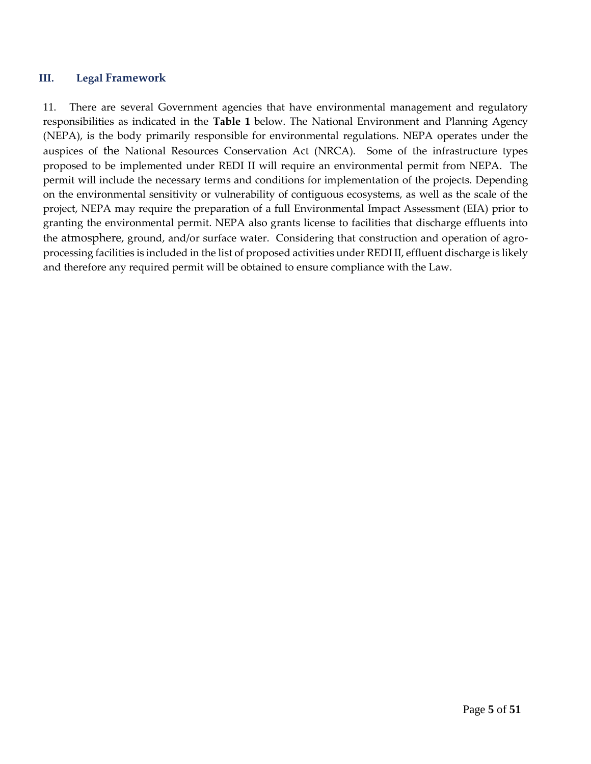#### **III. Legal Framework**

11. There are several Government agencies that have environmental management and regulatory responsibilities as indicated in the **Table 1** below. The National Environment and Planning Agency (NEPA), is the body primarily responsible for environmental regulations. NEPA operates under the auspices of the National Resources Conservation Act (NRCA). Some of the infrastructure types proposed to be implemented under REDI II will require an environmental permit from NEPA. The permit will include the necessary terms and conditions for implementation of the projects. Depending on the environmental sensitivity or vulnerability of contiguous ecosystems, as well as the scale of the project, NEPA may require the preparation of a full Environmental Impact Assessment (EIA) prior to granting the environmental permit. NEPA also grants license to facilities that discharge effluents into the atmosphere, ground, and/or surface water. Considering that construction and operation of agroprocessing facilities is included in the list of proposed activities under REDI II, effluent discharge is likely and therefore any required permit will be obtained to ensure compliance with the Law.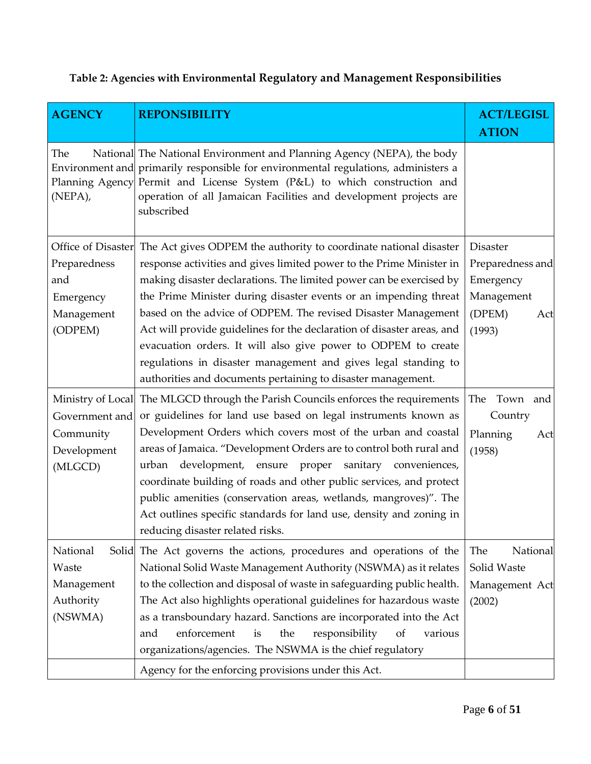|  |  |  |  | Table 2: Agencies with Environmental Regulatory and Management Responsibilities |
|--|--|--|--|---------------------------------------------------------------------------------|
|--|--|--|--|---------------------------------------------------------------------------------|

| <b>AGENCY</b>                                             | <b>REPONSIBILITY</b>                                                                                                                                                                                                                                                                                                                                                                                                                                                                                                                                                                                                                                  | <b>ACT/LEGISL</b><br><b>ATION</b>                                                         |
|-----------------------------------------------------------|-------------------------------------------------------------------------------------------------------------------------------------------------------------------------------------------------------------------------------------------------------------------------------------------------------------------------------------------------------------------------------------------------------------------------------------------------------------------------------------------------------------------------------------------------------------------------------------------------------------------------------------------------------|-------------------------------------------------------------------------------------------|
| The<br>(NEPA),                                            | National The National Environment and Planning Agency (NEPA), the body<br>Environment and primarily responsible for environmental regulations, administers a<br>Planning Agency Permit and License System (P&L) to which construction and<br>operation of all Jamaican Facilities and development projects are<br>subscribed                                                                                                                                                                                                                                                                                                                          |                                                                                           |
| Preparedness<br>and<br>Emergency<br>Management<br>(ODPEM) | Office of Disaster The Act gives ODPEM the authority to coordinate national disaster<br>response activities and gives limited power to the Prime Minister in<br>making disaster declarations. The limited power can be exercised by<br>the Prime Minister during disaster events or an impending threat<br>based on the advice of ODPEM. The revised Disaster Management<br>Act will provide guidelines for the declaration of disaster areas, and<br>evacuation orders. It will also give power to ODPEM to create<br>regulations in disaster management and gives legal standing to<br>authorities and documents pertaining to disaster management. | <b>Disaster</b><br>Preparedness and<br>Emergency<br>Management<br>(DPEM)<br>Act<br>(1993) |
| Government and<br>Community<br>Development<br>(MLGCD)     | Ministry of Local The MLGCD through the Parish Councils enforces the requirements<br>or guidelines for land use based on legal instruments known as<br>Development Orders which covers most of the urban and coastal<br>areas of Jamaica. "Development Orders are to control both rural and<br>urban development, ensure proper<br>sanitary conveniences,<br>coordinate building of roads and other public services, and protect<br>public amenities (conservation areas, wetlands, mangroves)". The<br>Act outlines specific standards for land use, density and zoning in<br>reducing disaster related risks.                                       | The Town and<br>Country<br>Planning<br>Act<br>(1958)                                      |
| National<br>Waste<br>Management<br>Authority<br>(NSWMA)   | Solid The Act governs the actions, procedures and operations of the<br>National Solid Waste Management Authority (NSWMA) as it relates<br>to the collection and disposal of waste in safeguarding public health.<br>The Act also highlights operational guidelines for hazardous waste<br>as a transboundary hazard. Sanctions are incorporated into the Act<br>enforcement<br>responsibility<br>the<br>various<br>and<br>is<br>of<br>organizations/agencies. The NSWMA is the chief regulatory<br>Agency for the enforcing provisions under this Act.                                                                                                | The<br>National<br>Solid Waste<br>Management Act<br>(2002)                                |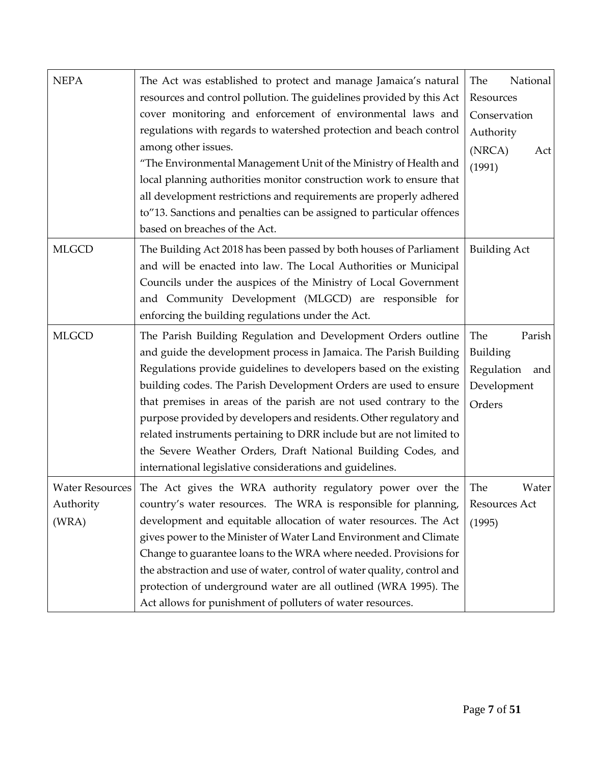| <b>NEPA</b>            | The Act was established to protect and manage Jamaica's natural         | The<br>National     |
|------------------------|-------------------------------------------------------------------------|---------------------|
|                        | resources and control pollution. The guidelines provided by this Act    | Resources           |
|                        | cover monitoring and enforcement of environmental laws and              | Conservation        |
|                        | regulations with regards to watershed protection and beach control      | Authority           |
|                        | among other issues.                                                     | (NRCA)<br>Act       |
|                        | "The Environmental Management Unit of the Ministry of Health and        | (1991)              |
|                        | local planning authorities monitor construction work to ensure that     |                     |
|                        | all development restrictions and requirements are properly adhered      |                     |
|                        | to"13. Sanctions and penalties can be assigned to particular offences   |                     |
|                        | based on breaches of the Act.                                           |                     |
| <b>MLGCD</b>           | The Building Act 2018 has been passed by both houses of Parliament      | <b>Building Act</b> |
|                        | and will be enacted into law. The Local Authorities or Municipal        |                     |
|                        | Councils under the auspices of the Ministry of Local Government         |                     |
|                        | and Community Development (MLGCD) are responsible for                   |                     |
|                        | enforcing the building regulations under the Act.                       |                     |
| <b>MLGCD</b>           | The Parish Building Regulation and Development Orders outline           | The<br>Parish       |
|                        | and guide the development process in Jamaica. The Parish Building       | Building            |
|                        | Regulations provide guidelines to developers based on the existing      | Regulation<br>and   |
|                        | building codes. The Parish Development Orders are used to ensure        | Development         |
|                        | that premises in areas of the parish are not used contrary to the       | Orders              |
|                        | purpose provided by developers and residents. Other regulatory and      |                     |
|                        | related instruments pertaining to DRR include but are not limited to    |                     |
|                        | the Severe Weather Orders, Draft National Building Codes, and           |                     |
|                        | international legislative considerations and guidelines.                |                     |
| <b>Water Resources</b> | The Act gives the WRA authority regulatory power over the               | The<br>Water        |
| Authority              | country's water resources. The WRA is responsible for planning,         | Resources Act       |
| (WRA)                  | development and equitable allocation of water resources. The Act        | (1995)              |
|                        | gives power to the Minister of Water Land Environment and Climate       |                     |
|                        | Change to guarantee loans to the WRA where needed. Provisions for       |                     |
|                        | the abstraction and use of water, control of water quality, control and |                     |
|                        | protection of underground water are all outlined (WRA 1995). The        |                     |
|                        | Act allows for punishment of polluters of water resources.              |                     |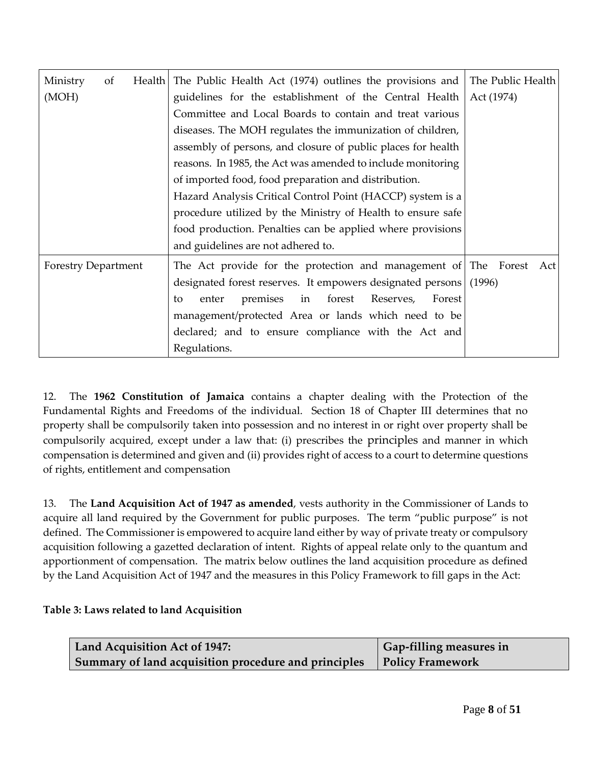| Ministry<br>of             | Health | The Public Health Act (1974) outlines the provisions and                                                                                                                                                                                                                                                    | The Public Health |
|----------------------------|--------|-------------------------------------------------------------------------------------------------------------------------------------------------------------------------------------------------------------------------------------------------------------------------------------------------------------|-------------------|
| (MOH)                      |        | guidelines for the establishment of the Central Health                                                                                                                                                                                                                                                      | Act (1974)        |
|                            |        | Committee and Local Boards to contain and treat various                                                                                                                                                                                                                                                     |                   |
|                            |        | diseases. The MOH regulates the immunization of children,                                                                                                                                                                                                                                                   |                   |
|                            |        | assembly of persons, and closure of public places for health                                                                                                                                                                                                                                                |                   |
|                            |        | reasons. In 1985, the Act was amended to include monitoring                                                                                                                                                                                                                                                 |                   |
|                            |        | of imported food, food preparation and distribution.                                                                                                                                                                                                                                                        |                   |
|                            |        | Hazard Analysis Critical Control Point (HACCP) system is a                                                                                                                                                                                                                                                  |                   |
|                            |        | procedure utilized by the Ministry of Health to ensure safe                                                                                                                                                                                                                                                 |                   |
|                            |        | food production. Penalties can be applied where provisions                                                                                                                                                                                                                                                  |                   |
|                            |        | and guidelines are not adhered to.                                                                                                                                                                                                                                                                          |                   |
| <b>Forestry Department</b> |        | The Act provide for the protection and management of The Forest Act<br>designated forest reserves. It empowers designated persons<br>premises in forest<br>Reserves,<br>Forest<br>enter<br>to<br>management/protected Area or lands which need to be<br>declared; and to ensure compliance with the Act and | (1996)            |
|                            |        | Regulations.                                                                                                                                                                                                                                                                                                |                   |

12. The **1962 Constitution of Jamaica** contains a chapter dealing with the Protection of the Fundamental Rights and Freedoms of the individual. Section 18 of Chapter III determines that no property shall be compulsorily taken into possession and no interest in or right over property shall be compulsorily acquired, except under a law that: (i) prescribes the principles and manner in which compensation is determined and given and (ii) provides right of access to a court to determine questions of rights, entitlement and compensation

13. The **Land Acquisition Act of 1947 as amended**, vests authority in the Commissioner of Lands to acquire all land required by the Government for public purposes. The term "public purpose" is not defined. The Commissioner is empowered to acquire land either by way of private treaty or compulsory acquisition following a gazetted declaration of intent. Rights of appeal relate only to the quantum and apportionment of compensation. The matrix below outlines the land acquisition procedure as defined by the Land Acquisition Act of 1947 and the measures in this Policy Framework to fill gaps in the Act:

### **Table 3: Laws related to land Acquisition**

| Land Acquisition Act of 1947:                        | Gap-filling measures in |
|------------------------------------------------------|-------------------------|
| Summary of land acquisition procedure and principles | <b>Policy Framework</b> |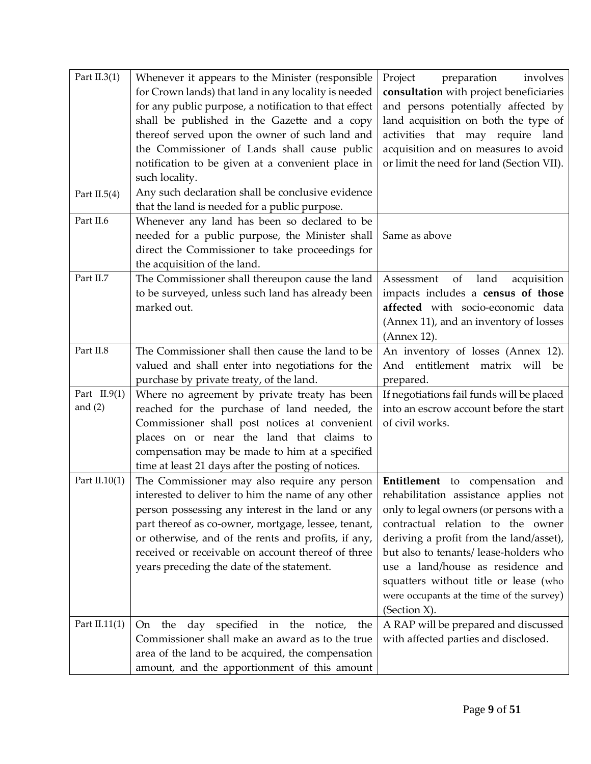| Part $II.3(1)$  | Whenever it appears to the Minister (responsible      | Project<br>preparation<br>involves        |
|-----------------|-------------------------------------------------------|-------------------------------------------|
|                 | for Crown lands) that land in any locality is needed  | consultation with project beneficiaries   |
|                 | for any public purpose, a notification to that effect | and persons potentially affected by       |
|                 | shall be published in the Gazette and a copy          | land acquisition on both the type of      |
|                 | thereof served upon the owner of such land and        | activities that may require land          |
|                 | the Commissioner of Lands shall cause public          | acquisition and on measures to avoid      |
|                 | notification to be given at a convenient place in     | or limit the need for land (Section VII). |
|                 | such locality.                                        |                                           |
| Part II.5 $(4)$ | Any such declaration shall be conclusive evidence     |                                           |
|                 | that the land is needed for a public purpose.         |                                           |
| Part II.6       | Whenever any land has been so declared to be          |                                           |
|                 | needed for a public purpose, the Minister shall       | Same as above                             |
|                 | direct the Commissioner to take proceedings for       |                                           |
|                 | the acquisition of the land.                          |                                           |
| Part II.7       | The Commissioner shall thereupon cause the land       | Assessment<br>of<br>land<br>acquisition   |
|                 | to be surveyed, unless such land has already been     | impacts includes a census of those        |
|                 | marked out.                                           | affected with socio-economic data         |
|                 |                                                       | (Annex 11), and an inventory of losses    |
|                 |                                                       | (Annex 12).                               |
| Part II.8       | The Commissioner shall then cause the land to be      | An inventory of losses (Annex 12).        |
|                 | valued and shall enter into negotiations for the      | And entitlement matrix will be            |
|                 | purchase by private treaty, of the land.              | prepared.                                 |
| Part $II.9(1)$  | Where no agreement by private treaty has been         | If negotiations fail funds will be placed |
| and $(2)$       | reached for the purchase of land needed, the          | into an escrow account before the start   |
|                 | Commissioner shall post notices at convenient         | of civil works.                           |
|                 | places on or near the land that claims to             |                                           |
|                 | compensation may be made to him at a specified        |                                           |
|                 | time at least 21 days after the posting of notices.   |                                           |
| Part $II.10(1)$ | The Commissioner may also require any person          | Entitlement to compensation and           |
|                 | interested to deliver to him the name of any other    | rehabilitation assistance applies not     |
|                 | person possessing any interest in the land or any     | only to legal owners (or persons with a   |
|                 | part thereof as co-owner, mortgage, lessee, tenant,   | contractual relation to the owner         |
|                 | or otherwise, and of the rents and profits, if any,   | deriving a profit from the land/asset),   |
|                 | received or receivable on account thereof of three    | but also to tenants/ lease-holders who    |
|                 | years preceding the date of the statement.            | use a land/house as residence and         |
|                 |                                                       | squatters without title or lease (who     |
|                 |                                                       | were occupants at the time of the survey) |
|                 |                                                       | (Section X).                              |
| Part II.11(1)   | day specified in the notice,<br>the<br>the<br>On      | A RAP will be prepared and discussed      |
|                 | Commissioner shall make an award as to the true       | with affected parties and disclosed.      |
|                 | area of the land to be acquired, the compensation     |                                           |
|                 | amount, and the apportionment of this amount          |                                           |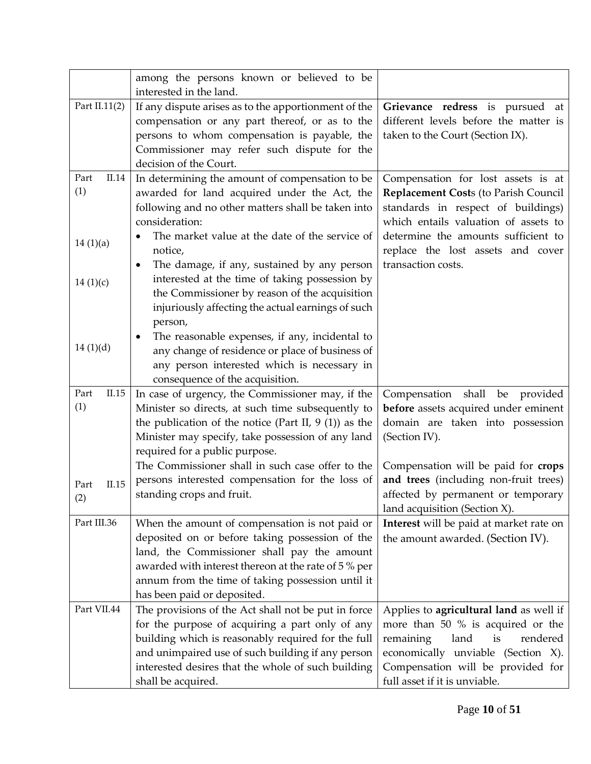|                      | among the persons known or believed to be<br>interested in the land.                                                                                                                                                                                                                          |                                                                                                                                                                                                                                 |
|----------------------|-----------------------------------------------------------------------------------------------------------------------------------------------------------------------------------------------------------------------------------------------------------------------------------------------|---------------------------------------------------------------------------------------------------------------------------------------------------------------------------------------------------------------------------------|
| Part II.11(2)        | If any dispute arises as to the apportionment of the<br>compensation or any part thereof, or as to the<br>persons to whom compensation is payable, the<br>Commissioner may refer such dispute for the<br>decision of the Court.                                                               | Grievance redress is pursued at<br>different levels before the matter is<br>taken to the Court (Section IX).                                                                                                                    |
| Part<br>II.14<br>(1) | In determining the amount of compensation to be<br>awarded for land acquired under the Act, the<br>following and no other matters shall be taken into<br>consideration:                                                                                                                       | Compensation for lost assets is at<br>Replacement Costs (to Parish Council<br>standards in respect of buildings)<br>which entails valuation of assets to                                                                        |
| 14(1)(a)             | The market value at the date of the service of<br>notice,<br>The damage, if any, sustained by any person<br>٠                                                                                                                                                                                 | determine the amounts sufficient to<br>replace the lost assets and cover<br>transaction costs.                                                                                                                                  |
| 14(1)(c)             | interested at the time of taking possession by<br>the Commissioner by reason of the acquisition<br>injuriously affecting the actual earnings of such<br>person,                                                                                                                               |                                                                                                                                                                                                                                 |
| 14(1)(d)             | The reasonable expenses, if any, incidental to<br>any change of residence or place of business of<br>any person interested which is necessary in<br>consequence of the acquisition.                                                                                                           |                                                                                                                                                                                                                                 |
| Part<br>II.15<br>(1) | In case of urgency, the Commissioner may, if the<br>Minister so directs, at such time subsequently to<br>the publication of the notice (Part II, $9(1)$ ) as the<br>Minister may specify, take possession of any land<br>required for a public purpose.                                       | Compensation<br>shall be provided<br>before assets acquired under eminent<br>domain are taken into possession<br>(Section IV).                                                                                                  |
| II.15<br>Part<br>(2) | The Commissioner shall in such case offer to the<br>persons interested compensation for the loss of<br>standing crops and fruit.                                                                                                                                                              | Compensation will be paid for <b>crops</b><br>and trees (including non-fruit trees)<br>affected by permanent or temporary<br>land acquisition (Section X).                                                                      |
| Part III.36          | When the amount of compensation is not paid or<br>deposited on or before taking possession of the<br>land, the Commissioner shall pay the amount<br>awarded with interest thereon at the rate of 5 % per<br>annum from the time of taking possession until it<br>has been paid or deposited.  | Interest will be paid at market rate on<br>the amount awarded. (Section IV).                                                                                                                                                    |
| Part VII.44          | The provisions of the Act shall not be put in force<br>for the purpose of acquiring a part only of any<br>building which is reasonably required for the full<br>and unimpaired use of such building if any person<br>interested desires that the whole of such building<br>shall be acquired. | Applies to agricultural land as well if<br>more than 50 % is acquired or the<br>remaining<br>land<br>is<br>rendered<br>economically unviable (Section X).<br>Compensation will be provided for<br>full asset if it is unviable. |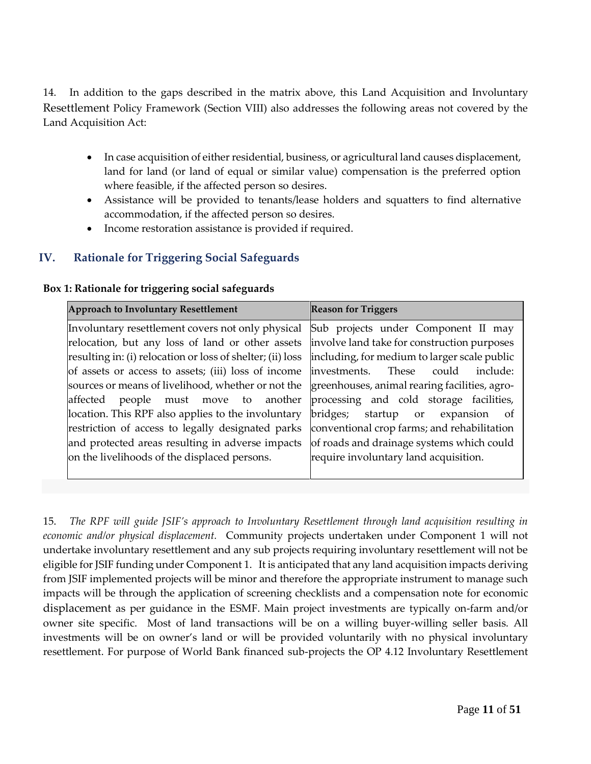14. In addition to the gaps described in the matrix above, this Land Acquisition and Involuntary Resettlement Policy Framework (Section VIII) also addresses the following areas not covered by the Land Acquisition Act:

- In case acquisition of either residential, business, or agricultural land causes displacement, land for land (or land of equal or similar value) compensation is the preferred option where feasible, if the affected person so desires.
- Assistance will be provided to tenants/lease holders and squatters to find alternative accommodation, if the affected person so desires.
- Income restoration assistance is provided if required.

## **IV. Rationale for Triggering Social Safeguards**

| <b>Approach to Involuntary Resettlement</b>                                                      | <b>Reason for Triggers</b>                   |
|--------------------------------------------------------------------------------------------------|----------------------------------------------|
| Involuntary resettlement covers not only physical Sub projects under Component II may            |                                              |
| relocation, but any loss of land or other assets                                                 | involve land take for construction purposes  |
| resulting in: (i) relocation or loss of shelter; (ii) loss                                       | including, for medium to larger scale public |
| of assets or access to assets; (iii) loss of income investments.                                 | include:<br>These<br>could                   |
| sources or means of livelihood, whether or not the greenhouses, animal rearing facilities, agro- |                                              |
| affected people must move to another processing and cold storage facilities,                     |                                              |
| location. This RPF also applies to the involuntary                                               | bridges; startup or<br>expansion<br>of       |
| restriction of access to legally designated parks                                                | conventional crop farms; and rehabilitation  |
| and protected areas resulting in adverse impacts                                                 | of roads and drainage systems which could    |
| on the livelihoods of the displaced persons.                                                     | require involuntary land acquisition.        |
|                                                                                                  |                                              |

15. *The RPF will guide JSIF's approach to Involuntary Resettlement through land acquisition resulting in economic and/or physical displacement.*Community projects undertaken under Component 1 will not undertake involuntary resettlement and any sub projects requiring involuntary resettlement will not be eligible for JSIF funding under Component 1. It is anticipated that any land acquisition impacts deriving from JSIF implemented projects will be minor and therefore the appropriate instrument to manage such impacts will be through the application of screening checklists and a compensation note for economic displacement as per guidance in the ESMF. Main project investments are typically on-farm and/or owner site specific. Most of land transactions will be on a willing buyer-willing seller basis. All investments will be on owner's land or will be provided voluntarily with no physical involuntary resettlement. For purpose of World Bank financed sub-projects the OP 4.12 Involuntary Resettlement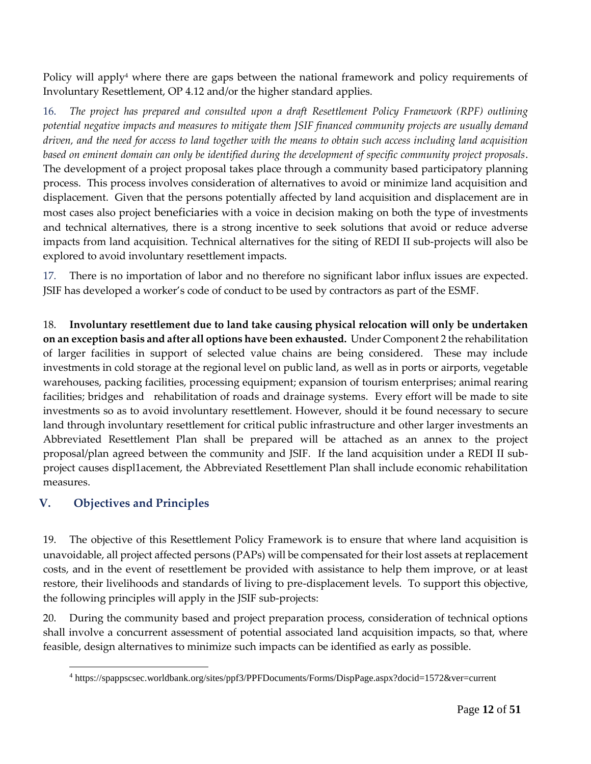Policy will apply<sup>4</sup> where there are gaps between the national framework and policy requirements of Involuntary Resettlement, OP 4.12 and/or the higher standard applies.

16. *The project has prepared and consulted upon a draft Resettlement Policy Framework (RPF) outlining potential negative impacts and measures to mitigate them JSIF financed community projects are usually demand driven, and the need for access to land together with the means to obtain such access including land acquisition based on eminent domain can only be identified during the development of specific community project proposals*. The development of a project proposal takes place through a community based participatory planning process. This process involves consideration of alternatives to avoid or minimize land acquisition and displacement. Given that the persons potentially affected by land acquisition and displacement are in most cases also project beneficiaries with a voice in decision making on both the type of investments and technical alternatives, there is a strong incentive to seek solutions that avoid or reduce adverse impacts from land acquisition. Technical alternatives for the siting of REDI II sub-projects will also be explored to avoid involuntary resettlement impacts.

17. There is no importation of labor and no therefore no significant labor influx issues are expected. JSIF has developed a worker's code of conduct to be used by contractors as part of the ESMF.

18. **Involuntary resettlement due to land take causing physical relocation will only be undertaken on an exception basis and after all options have been exhausted.** Under Component 2 the rehabilitation of larger facilities in support of selected value chains are being considered. These may include investments in cold storage at the regional level on public land, as well as in ports or airports, vegetable warehouses, packing facilities, processing equipment; expansion of tourism enterprises; animal rearing facilities; bridges and rehabilitation of roads and drainage systems. Every effort will be made to site investments so as to avoid involuntary resettlement. However, should it be found necessary to secure land through involuntary resettlement for critical public infrastructure and other larger investments an Abbreviated Resettlement Plan shall be prepared will be attached as an annex to the project proposal/plan agreed between the community and JSIF. If the land acquisition under a REDI II subproject causes displ1acement, the Abbreviated Resettlement Plan shall include economic rehabilitation measures.

## **V. Objectives and Principles**

 $\overline{a}$ 

19. The objective of this Resettlement Policy Framework is to ensure that where land acquisition is unavoidable, all project affected persons (PAPs) will be compensated for their lost assets at replacement costs, and in the event of resettlement be provided with assistance to help them improve, or at least restore, their livelihoods and standards of living to pre-displacement levels. To support this objective, the following principles will apply in the JSIF sub-projects:

20. During the community based and project preparation process, consideration of technical options shall involve a concurrent assessment of potential associated land acquisition impacts, so that, where feasible, design alternatives to minimize such impacts can be identified as early as possible.

<sup>4</sup> https://spappscsec.worldbank.org/sites/ppf3/PPFDocuments/Forms/DispPage.aspx?docid=1572&ver=current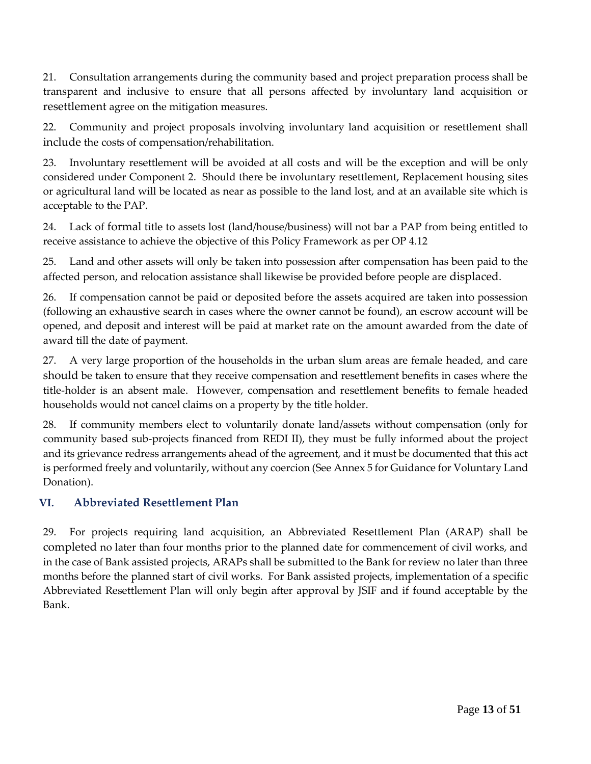21. Consultation arrangements during the community based and project preparation process shall be transparent and inclusive to ensure that all persons affected by involuntary land acquisition or resettlement agree on the mitigation measures.

22. Community and project proposals involving involuntary land acquisition or resettlement shall include the costs of compensation/rehabilitation.

23. Involuntary resettlement will be avoided at all costs and will be the exception and will be only considered under Component 2. Should there be involuntary resettlement, Replacement housing sites or agricultural land will be located as near as possible to the land lost, and at an available site which is acceptable to the PAP.

24. Lack of formal title to assets lost (land/house/business) will not bar a PAP from being entitled to receive assistance to achieve the objective of this Policy Framework as per OP 4.12

25. Land and other assets will only be taken into possession after compensation has been paid to the affected person, and relocation assistance shall likewise be provided before people are displaced.

26. If compensation cannot be paid or deposited before the assets acquired are taken into possession (following an exhaustive search in cases where the owner cannot be found), an escrow account will be opened, and deposit and interest will be paid at market rate on the amount awarded from the date of award till the date of payment.

27. A very large proportion of the households in the urban slum areas are female headed, and care should be taken to ensure that they receive compensation and resettlement benefits in cases where the title-holder is an absent male. However, compensation and resettlement benefits to female headed households would not cancel claims on a property by the title holder.

28. If community members elect to voluntarily donate land/assets without compensation (only for community based sub-projects financed from REDI II), they must be fully informed about the project and its grievance redress arrangements ahead of the agreement, and it must be documented that this act is performed freely and voluntarily, without any coercion (See Annex 5 for Guidance for Voluntary Land Donation).

### **VI. Abbreviated Resettlement Plan**

29. For projects requiring land acquisition, an Abbreviated Resettlement Plan (ARAP) shall be completed no later than four months prior to the planned date for commencement of civil works, and in the case of Bank assisted projects, ARAPs shall be submitted to the Bank for review no later than three months before the planned start of civil works. For Bank assisted projects, implementation of a specific Abbreviated Resettlement Plan will only begin after approval by JSIF and if found acceptable by the Bank.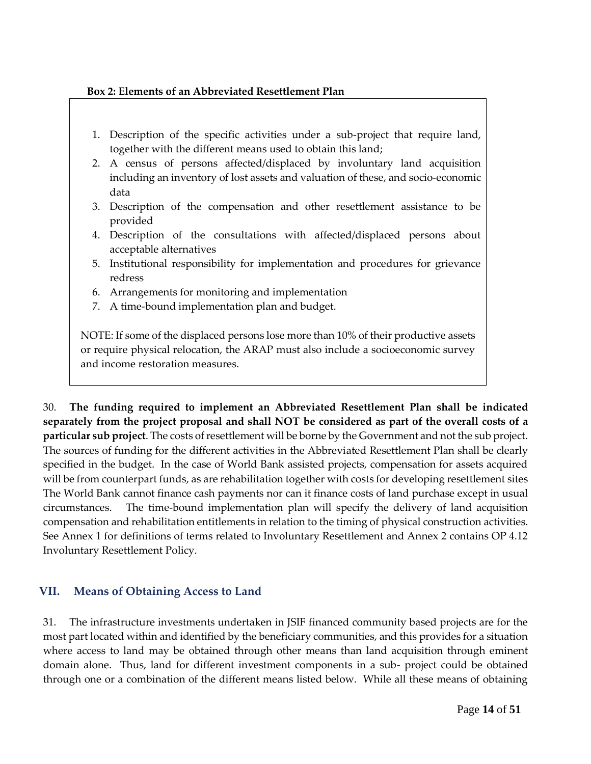#### **Box 2: Elements of an Abbreviated Resettlement Plan**

- 1. Description of the specific activities under a sub-project that require land, together with the different means used to obtain this land;
- 2. A census of persons affected/displaced by involuntary land acquisition including an inventory of lost assets and valuation of these, and socio-economic data
- 3. Description of the compensation and other resettlement assistance to be provided
- 4. Description of the consultations with affected/displaced persons about acceptable alternatives
- 5. Institutional responsibility for implementation and procedures for grievance redress
- 6. Arrangements for monitoring and implementation
- 7. A time-bound implementation plan and budget.

NOTE: If some of the displaced persons lose more than 10% of their productive assets or require physical relocation, the ARAP must also include a socioeconomic survey and income restoration measures.

30. **The funding required to implement an Abbreviated Resettlement Plan shall be indicated separately from the project proposal and shall NOT be considered as part of the overall costs of a particular sub project**. The costs of resettlement will be borne by the Government and not the sub project. The sources of funding for the different activities in the Abbreviated Resettlement Plan shall be clearly specified in the budget. In the case of World Bank assisted projects, compensation for assets acquired will be from counterpart funds, as are rehabilitation together with costs for developing resettlement sites The World Bank cannot finance cash payments nor can it finance costs of land purchase except in usual circumstances. The time-bound implementation plan will specify the delivery of land acquisition compensation and rehabilitation entitlements in relation to the timing of physical construction activities. See Annex 1 for definitions of terms related to Involuntary Resettlement and Annex 2 contains OP 4.12 Involuntary Resettlement Policy.

## **VII. Means of Obtaining Access to Land**

31. The infrastructure investments undertaken in JSIF financed community based projects are for the most part located within and identified by the beneficiary communities, and this provides for a situation where access to land may be obtained through other means than land acquisition through eminent domain alone. Thus, land for different investment components in a sub- project could be obtained through one or a combination of the different means listed below. While all these means of obtaining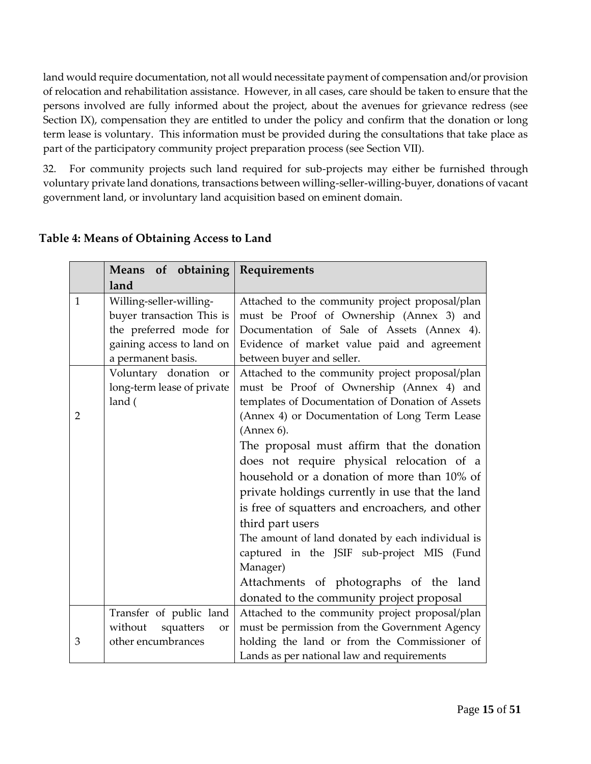land would require documentation, not all would necessitate payment of compensation and/or provision of relocation and rehabilitation assistance. However, in all cases, care should be taken to ensure that the persons involved are fully informed about the project, about the avenues for grievance redress (see Section IX), compensation they are entitled to under the policy and confirm that the donation or long term lease is voluntary. This information must be provided during the consultations that take place as part of the participatory community project preparation process (see Section VII).

32. For community projects such land required for sub-projects may either be furnished through voluntary private land donations, transactions between willing-seller-willing-buyer, donations of vacant government land, or involuntary land acquisition based on eminent domain.

|                | <b>Means</b>                                                                                                | of obtaining   Requirements                                                                                                                                                                                                                                                                                                                                                                                                                                                                                                          |
|----------------|-------------------------------------------------------------------------------------------------------------|--------------------------------------------------------------------------------------------------------------------------------------------------------------------------------------------------------------------------------------------------------------------------------------------------------------------------------------------------------------------------------------------------------------------------------------------------------------------------------------------------------------------------------------|
|                | land                                                                                                        |                                                                                                                                                                                                                                                                                                                                                                                                                                                                                                                                      |
| $\mathbf{1}$   | Willing-seller-willing-<br>buyer transaction This is<br>the preferred mode for<br>gaining access to land on | Attached to the community project proposal/plan<br>must be Proof of Ownership (Annex 3) and<br>Documentation of Sale of Assets (Annex 4).<br>Evidence of market value paid and agreement                                                                                                                                                                                                                                                                                                                                             |
|                | a permanent basis.                                                                                          | between buyer and seller.                                                                                                                                                                                                                                                                                                                                                                                                                                                                                                            |
| $\overline{2}$ | Voluntary donation or<br>long-term lease of private<br>land (                                               | Attached to the community project proposal/plan<br>must be Proof of Ownership (Annex 4) and<br>templates of Documentation of Donation of Assets                                                                                                                                                                                                                                                                                                                                                                                      |
|                |                                                                                                             | (Annex 4) or Documentation of Long Term Lease<br>(Annex 6).<br>The proposal must affirm that the donation<br>does not require physical relocation of a<br>household or a donation of more than 10% of<br>private holdings currently in use that the land<br>is free of squatters and encroachers, and other<br>third part users<br>The amount of land donated by each individual is<br>captured in the JSIF sub-project MIS (Fund<br>Manager)<br>Attachments of photographs of the land<br>donated to the community project proposal |
|                | Transfer of public land                                                                                     | Attached to the community project proposal/plan                                                                                                                                                                                                                                                                                                                                                                                                                                                                                      |
|                | squatters<br>without<br><b>or</b>                                                                           | must be permission from the Government Agency                                                                                                                                                                                                                                                                                                                                                                                                                                                                                        |
| 3              | other encumbrances                                                                                          | holding the land or from the Commissioner of<br>Lands as per national law and requirements                                                                                                                                                                                                                                                                                                                                                                                                                                           |

## **Table 4: Means of Obtaining Access to Land**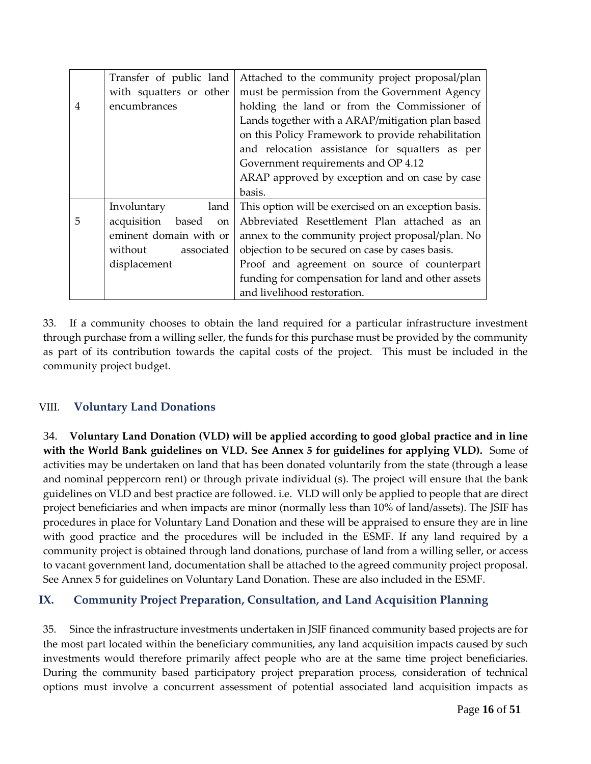|   | Transfer of public land               | Attached to the community project proposal/plan      |
|---|---------------------------------------|------------------------------------------------------|
|   | with squatters or other               | must be permission from the Government Agency        |
| 4 | encumbrances                          | holding the land or from the Commissioner of         |
|   |                                       | Lands together with a ARAP/mitigation plan based     |
|   |                                       | on this Policy Framework to provide rehabilitation   |
|   |                                       | and relocation assistance for squatters as per       |
|   |                                       | Government requirements and OP 4.12                  |
|   |                                       | ARAP approved by exception and on case by case       |
|   |                                       | basis.                                               |
|   | Involuntary<br>land                   | This option will be exercised on an exception basis. |
| 5 | acquisition<br>based<br><sub>on</sub> | Abbreviated Resettlement Plan attached as an         |
|   | eminent domain with or                | annex to the community project proposal/plan. No     |
|   | without<br>associated                 | objection to be secured on case by cases basis.      |
|   | displacement                          | Proof and agreement on source of counterpart         |
|   |                                       | funding for compensation for land and other assets   |
|   |                                       | and livelihood restoration.                          |

33. If a community chooses to obtain the land required for a particular infrastructure investment through purchase from a willing seller, the funds for this purchase must be provided by the community as part of its contribution towards the capital costs of the project. This must be included in the community project budget.

## VIII. **Voluntary Land Donations**

34. **Voluntary Land Donation (VLD) will be applied according to good global practice and in line with the World Bank guidelines on VLD. See Annex 5 for guidelines for applying VLD).** Some of activities may be undertaken on land that has been donated voluntarily from the state (through a lease and nominal peppercorn rent) or through private individual (s). The project will ensure that the bank guidelines on VLD and best practice are followed. i.e. VLD will only be applied to people that are direct project beneficiaries and when impacts are minor (normally less than 10% of land/assets). The JSIF has procedures in place for Voluntary Land Donation and these will be appraised to ensure they are in line with good practice and the procedures will be included in the ESMF. If any land required by a community project is obtained through land donations, purchase of land from a willing seller, or access to vacant government land, documentation shall be attached to the agreed community project proposal. See Annex 5 for guidelines on Voluntary Land Donation. These are also included in the ESMF.

## **IX. Community Project Preparation, Consultation, and Land Acquisition Planning**

35. Since the infrastructure investments undertaken in JSIF financed community based projects are for the most part located within the beneficiary communities, any land acquisition impacts caused by such investments would therefore primarily affect people who are at the same time project beneficiaries. During the community based participatory project preparation process, consideration of technical options must involve a concurrent assessment of potential associated land acquisition impacts as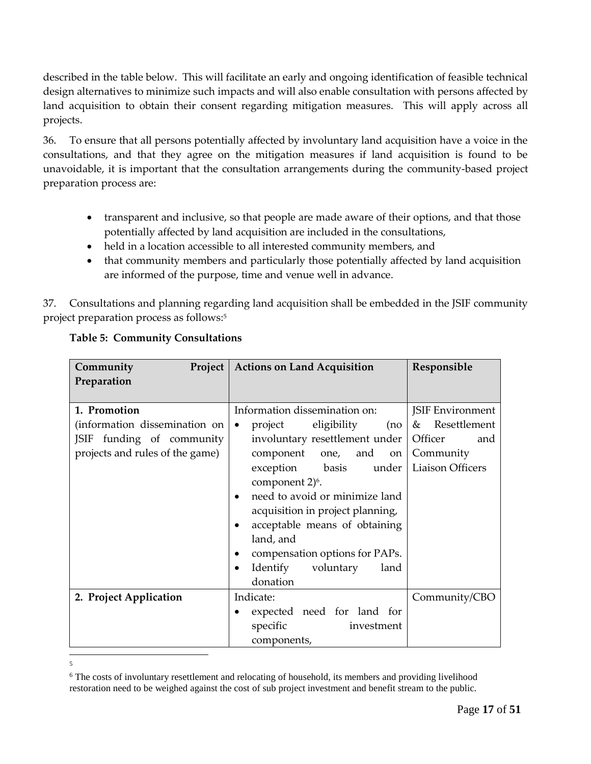described in the table below. This will facilitate an early and ongoing identification of feasible technical design alternatives to minimize such impacts and will also enable consultation with persons affected by land acquisition to obtain their consent regarding mitigation measures. This will apply across all projects.

36. To ensure that all persons potentially affected by involuntary land acquisition have a voice in the consultations, and that they agree on the mitigation measures if land acquisition is found to be unavoidable, it is important that the consultation arrangements during the community-based project preparation process are:

- transparent and inclusive, so that people are made aware of their options, and that those potentially affected by land acquisition are included in the consultations,
- held in a location accessible to all interested community members, and
- that community members and particularly those potentially affected by land acquisition are informed of the purpose, time and venue well in advance.

37. Consultations and planning regarding land acquisition shall be embedded in the JSIF community project preparation process as follows:<sup>5</sup>

| Community                       | <b>Project   Actions on Land Acquisition</b>              | Responsible             |
|---------------------------------|-----------------------------------------------------------|-------------------------|
| Preparation                     |                                                           |                         |
|                                 |                                                           |                         |
| 1. Promotion                    | Information dissemination on:                             | <b>JSIF Environment</b> |
| (information dissemination on   | eligibility<br>project<br>(no <sub>l</sub> )<br>$\bullet$ | & Resettlement          |
| JSIF funding of community       | involuntary resettlement under                            | Officer<br>and          |
| projects and rules of the game) | component one, and<br>on                                  | Community               |
|                                 | exception basis<br>under                                  | Liaison Officers        |
|                                 | component 2) <sup>6</sup> .                               |                         |
|                                 | need to avoid or minimize land<br>٠                       |                         |
|                                 | acquisition in project planning,                          |                         |
|                                 | acceptable means of obtaining                             |                         |
|                                 | land, and                                                 |                         |
|                                 | compensation options for PAPs.<br>٠                       |                         |
|                                 | Identify voluntary<br>land                                |                         |
|                                 | donation                                                  |                         |
| 2. Project Application          | Indicate:                                                 | Community/CBO           |
|                                 | expected need for land for                                |                         |
|                                 | specific<br>investment                                    |                         |
|                                 | components,                                               |                         |

## **Table 5: Community Consultations**

 $\frac{1}{5}$ 

<sup>&</sup>lt;sup>6</sup> The costs of involuntary resettlement and relocating of household, its members and providing livelihood restoration need to be weighed against the cost of sub project investment and benefit stream to the public.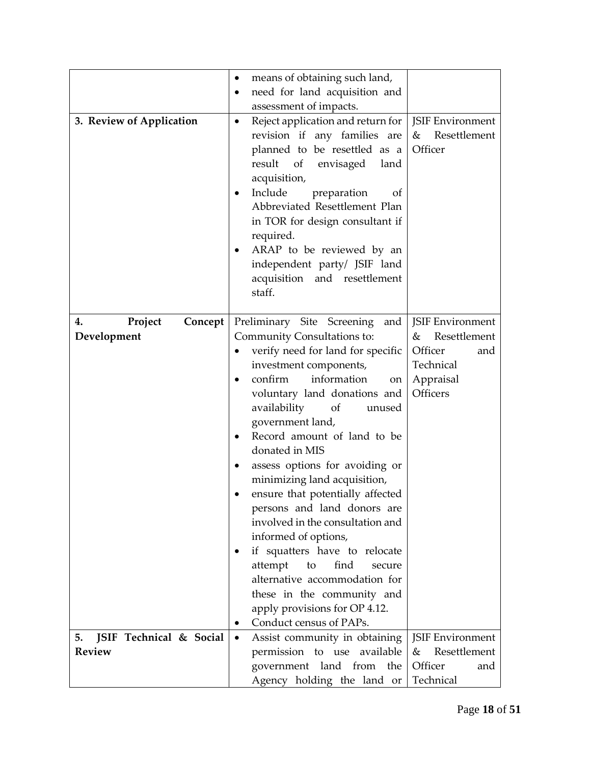| 3. Review of Application                       | means of obtaining such land,<br>٠<br>need for land acquisition and<br>$\bullet$<br>assessment of impacts.<br>Reject application and return for<br>$\bullet$<br>revision if any families are<br>planned to be resettled as a<br>result<br>of<br>envisaged<br>land<br>acquisition,<br>Include<br>preparation<br>Οf<br>Abbreviated Resettlement Plan                                                                                                                                                                                                                                                                                                                                                                     | <b>JSIF Environment</b><br>&<br>Resettlement<br>Officer                                       |
|------------------------------------------------|------------------------------------------------------------------------------------------------------------------------------------------------------------------------------------------------------------------------------------------------------------------------------------------------------------------------------------------------------------------------------------------------------------------------------------------------------------------------------------------------------------------------------------------------------------------------------------------------------------------------------------------------------------------------------------------------------------------------|-----------------------------------------------------------------------------------------------|
|                                                | in TOR for design consultant if<br>required.<br>ARAP to be reviewed by an<br>independent party/ JSIF land<br>acquisition and resettlement<br>staff.                                                                                                                                                                                                                                                                                                                                                                                                                                                                                                                                                                    |                                                                                               |
| Project<br>Concept<br>4.<br>Development        | Preliminary Site Screening<br>and<br>Community Consultations to:<br>verify need for land for specific<br>investment components,<br>confirm<br>information<br>on<br>voluntary land donations and<br>availability<br>of<br>unused<br>government land,<br>Record amount of land to be<br>$\bullet$<br>donated in MIS<br>assess options for avoiding or<br>٠<br>minimizing land acquisition,<br>ensure that potentially affected<br>persons and land donors are<br>involved in the consultation and<br>informed of options,<br>if squatters have to relocate<br>attempt<br>to<br>find<br>secure<br>alternative accommodation for<br>these in the community and<br>apply provisions for OP 4.12.<br>Conduct census of PAPs. | JSIF Environment<br>Resettlement<br>&<br>Officer<br>and<br>Technical<br>Appraisal<br>Officers |
| JSIF Technical & Social<br>5.<br><b>Review</b> | Assist community in obtaining<br>$\bullet$<br>permission to use available<br>government land from<br>the<br>Agency holding the land or                                                                                                                                                                                                                                                                                                                                                                                                                                                                                                                                                                                 | JSIF Environment<br>Resettlement<br>&<br>Officer<br>and<br>Technical                          |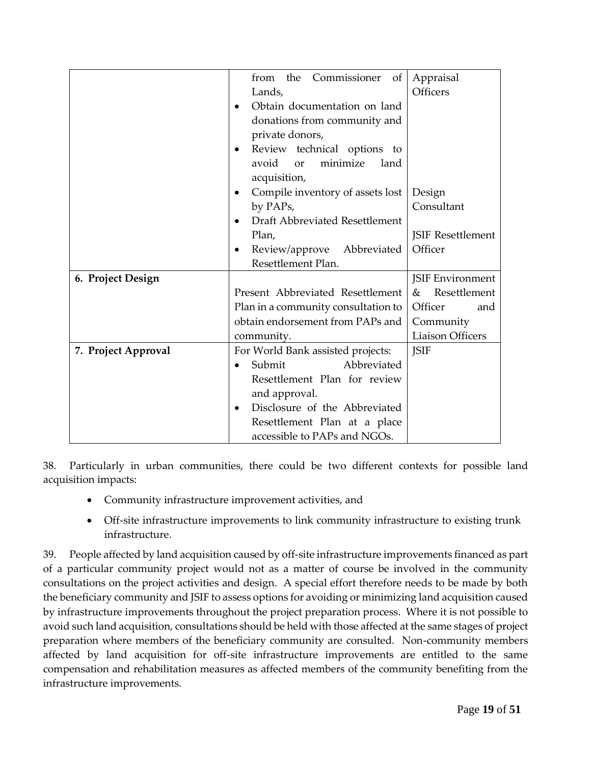|                     | the<br>Commissioner<br>of<br>from          | Appraisal                |
|---------------------|--------------------------------------------|--------------------------|
|                     | Lands,                                     | Officers                 |
|                     | Obtain documentation on land               |                          |
|                     | donations from community and               |                          |
|                     | private donors,                            |                          |
|                     | Review technical options to                |                          |
|                     | minimize<br>avoid<br>land<br>or            |                          |
|                     | acquisition,                               |                          |
|                     | Compile inventory of assets lost<br>٠      | Design                   |
|                     | by PAPs,                                   | Consultant               |
|                     | Draft Abbreviated Resettlement             |                          |
|                     | Plan,                                      | <b>JSIF Resettlement</b> |
|                     | Review/approve<br>Abbreviated              | Officer                  |
|                     | Resettlement Plan.                         |                          |
| 6. Project Design   |                                            | <b>JSIF Environment</b>  |
|                     | Present Abbreviated Resettlement           | Resettlement<br>&        |
|                     | Plan in a community consultation to        | Officer<br>and           |
|                     | obtain endorsement from PAPs and           | Community                |
|                     | community.                                 | <b>Liaison Officers</b>  |
| 7. Project Approval | For World Bank assisted projects:          | <b>JSIF</b>              |
|                     | Abbreviated<br>Submit                      |                          |
|                     | Resettlement Plan for review               |                          |
|                     | and approval.                              |                          |
|                     | Disclosure of the Abbreviated<br>$\bullet$ |                          |
|                     | Resettlement Plan at a place               |                          |
|                     | accessible to PAPs and NGOs.               |                          |

38. Particularly in urban communities, there could be two different contexts for possible land acquisition impacts:

- Community infrastructure improvement activities, and
- Off-site infrastructure improvements to link community infrastructure to existing trunk infrastructure.

39. People affected by land acquisition caused by off-site infrastructure improvements financed as part of a particular community project would not as a matter of course be involved in the community consultations on the project activities and design. A special effort therefore needs to be made by both the beneficiary community and JSIF to assess options for avoiding or minimizing land acquisition caused by infrastructure improvements throughout the project preparation process. Where it is not possible to avoid such land acquisition, consultations should be held with those affected at the same stages of project preparation where members of the beneficiary community are consulted. Non-community members affected by land acquisition for off-site infrastructure improvements are entitled to the same compensation and rehabilitation measures as affected members of the community benefiting from the infrastructure improvements.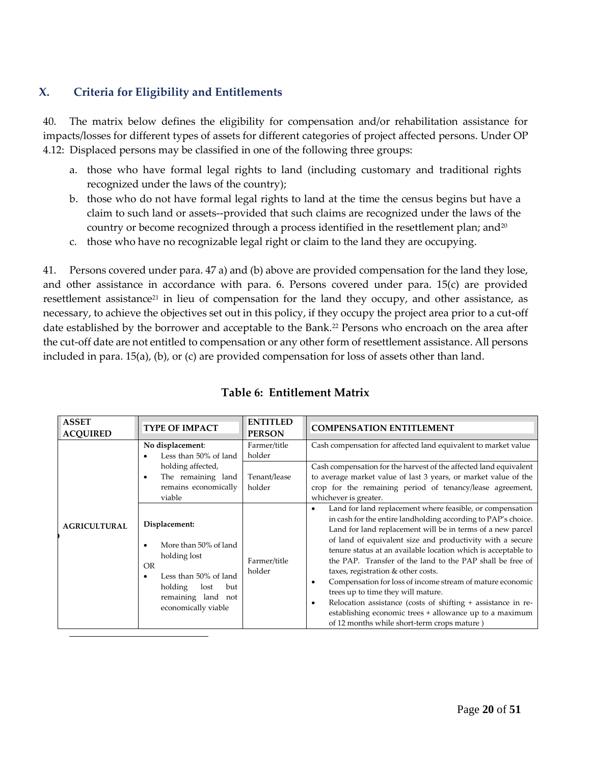## **X. Criteria for Eligibility and Entitlements**

 $\overline{a}$ 

40. The matrix below defines the eligibility for compensation and/or rehabilitation assistance for impacts/losses for different types of assets for different categories of project affected persons. Under OP 4.12: Displaced persons may be classified in one of the following three groups:

- a. those who have formal legal rights to land (including customary and traditional rights recognized under the laws of the country);
- b. those who do not have formal legal rights to land at the time the census begins but have a claim to such land or assets--provided that such claims are recognized under the laws of the country or become recognized through a process identified in the resettlement plan; and<sup>20</sup>
- c. those who have no recognizable legal right or claim to the land they are occupying.

41. Persons covered under para. 47 a) and (b) above are provided compensation for the land they lose, and other assistance in accordance with para. 6. Persons covered under para. 15(c) are provided resettlement assistance<sup>21</sup> in lieu of compensation for the land they occupy, and other assistance, as necessary, to achieve the objectives set out in this policy, if they occupy the project area prior to a cut-off date established by the borrower and acceptable to the Bank.<sup>22</sup> Persons who encroach on the area after the cut-off date are not entitled to compensation or any other form of resettlement assistance. All persons included in para. 15(a), (b), or (c) are provided compensation for loss of assets other than land.

| <b>ASSET</b><br><b>ACQUIRED</b> | <b>TYPE OF IMPACT</b>                                                                                                                                               | <b>ENTITLED</b><br><b>PERSON</b>                 | <b>COMPENSATION ENTITLEMENT</b>                                                                                                                                                                                                                                                                                                                                                                                                                                                                                                                                                                                                                                                                                                       |
|---------------------------------|---------------------------------------------------------------------------------------------------------------------------------------------------------------------|--------------------------------------------------|---------------------------------------------------------------------------------------------------------------------------------------------------------------------------------------------------------------------------------------------------------------------------------------------------------------------------------------------------------------------------------------------------------------------------------------------------------------------------------------------------------------------------------------------------------------------------------------------------------------------------------------------------------------------------------------------------------------------------------------|
|                                 | No displacement:<br>Less than 50% of land<br>holding affected,<br>The remaining land<br>٠<br>remains economically<br>viable                                         | Farmer/title<br>holder<br>Tenant/lease<br>holder | Cash compensation for affected land equivalent to market value<br>Cash compensation for the harvest of the affected land equivalent<br>to average market value of last 3 years, or market value of the<br>crop for the remaining period of tenancy/lease agreement,<br>whichever is greater.                                                                                                                                                                                                                                                                                                                                                                                                                                          |
| <b>AGRICULTURAL</b>             | Displacement:<br>More than 50% of land<br>holding lost<br><b>OR</b><br>Less than 50% of land<br>holding<br>lost<br>but<br>remaining land not<br>economically viable | Farmer/title<br>holder                           | Land for land replacement where feasible, or compensation<br>$\bullet$<br>in cash for the entire landholding according to PAP's choice.<br>Land for land replacement will be in terms of a new parcel<br>of land of equivalent size and productivity with a secure<br>tenure status at an available location which is acceptable to<br>the PAP. Transfer of the land to the PAP shall be free of<br>taxes, registration & other costs.<br>Compensation for loss of income stream of mature economic<br>٠<br>trees up to time they will mature.<br>Relocation assistance (costs of shifting + assistance in re-<br>$\bullet$<br>establishing economic trees + allowance up to a maximum<br>of 12 months while short-term crops mature) |

## **Table 6: Entitlement Matrix**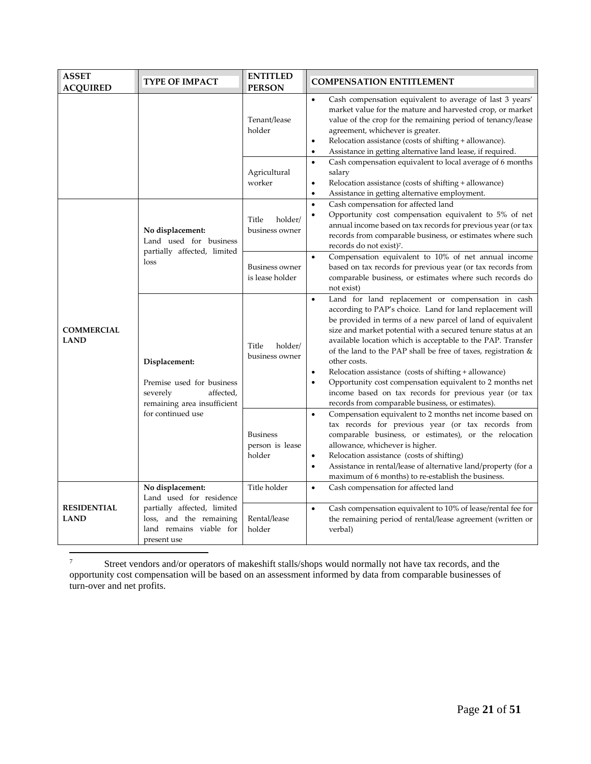| <b>ASSET</b><br><b>ACQUIRED</b>   | <b>TYPE OF IMPACT</b>                                                                                                                           | <b>ENTITLED</b><br><b>PERSON</b>             | <b>COMPENSATION ENTITLEMENT</b>                                                                                                                                                                                                                                                                                                                                                                                                                                                                                                                                                                                                                                          |
|-----------------------------------|-------------------------------------------------------------------------------------------------------------------------------------------------|----------------------------------------------|--------------------------------------------------------------------------------------------------------------------------------------------------------------------------------------------------------------------------------------------------------------------------------------------------------------------------------------------------------------------------------------------------------------------------------------------------------------------------------------------------------------------------------------------------------------------------------------------------------------------------------------------------------------------------|
|                                   |                                                                                                                                                 | Tenant/lease<br>holder                       | Cash compensation equivalent to average of last 3 years'<br>$\bullet$<br>market value for the mature and harvested crop, or market<br>value of the crop for the remaining period of tenancy/lease<br>agreement, whichever is greater.<br>Relocation assistance (costs of shifting + allowance).<br>$\bullet$<br>Assistance in getting alternative land lease, if required.<br>$\bullet$                                                                                                                                                                                                                                                                                  |
|                                   |                                                                                                                                                 | Agricultural<br>worker                       | Cash compensation equivalent to local average of 6 months<br>$\bullet$<br>salary<br>Relocation assistance (costs of shifting + allowance)<br>$\bullet$<br>Assistance in getting alternative employment.<br>$\bullet$                                                                                                                                                                                                                                                                                                                                                                                                                                                     |
|                                   | No displacement:<br>Land used for business<br>partially affected, limited<br>loss                                                               | Title<br>holder/<br>business owner           | Cash compensation for affected land<br>$\bullet$<br>Opportunity cost compensation equivalent to 5% of net<br>$\bullet$<br>annual income based on tax records for previous year (or tax<br>records from comparable business, or estimates where such<br>records do not exist) <sup>7</sup> .                                                                                                                                                                                                                                                                                                                                                                              |
|                                   |                                                                                                                                                 | <b>Business owner</b><br>is lease holder     | Compensation equivalent to 10% of net annual income<br>$\bullet$<br>based on tax records for previous year (or tax records from<br>comparable business, or estimates where such records do<br>not exist)                                                                                                                                                                                                                                                                                                                                                                                                                                                                 |
| <b>COMMERCIAL</b><br><b>LAND</b>  | Displacement:<br>Premise used for business<br>severely<br>affected,<br>remaining area insufficient                                              | Title<br>holder/<br>business owner           | Land for land replacement or compensation in cash<br>$\bullet$<br>according to PAP's choice. Land for land replacement will<br>be provided in terms of a new parcel of land of equivalent<br>size and market potential with a secured tenure status at an<br>available location which is acceptable to the PAP. Transfer<br>of the land to the PAP shall be free of taxes, registration $\&$<br>other costs.<br>Relocation assistance (costs of shifting + allowance)<br>$\bullet$<br>Opportunity cost compensation equivalent to 2 months net<br>$\bullet$<br>income based on tax records for previous year (or tax<br>records from comparable business, or estimates). |
|                                   | for continued use                                                                                                                               | <b>Business</b><br>person is lease<br>holder | Compensation equivalent to 2 months net income based on<br>$\bullet$<br>tax records for previous year (or tax records from<br>comparable business, or estimates), or the relocation<br>allowance, whichever is higher.<br>Relocation assistance (costs of shifting)<br>$\bullet$<br>Assistance in rental/lease of alternative land/property (for a<br>$\bullet$<br>maximum of 6 months) to re-establish the business.                                                                                                                                                                                                                                                    |
| <b>RESIDENTIAL</b><br><b>LAND</b> | No displacement:<br>Land used for residence<br>partially affected, limited<br>loss, and the remaining<br>land remains viable for<br>present use | Title holder<br>Rental/lease<br>holder       | Cash compensation for affected land<br>$\bullet$<br>Cash compensation equivalent to 10% of lease/rental fee for<br>$\bullet$<br>the remaining period of rental/lease agreement (written or<br>verbal)                                                                                                                                                                                                                                                                                                                                                                                                                                                                    |

<sup>&</sup>lt;sup>7</sup> Street vendors and/or operators of makeshift stalls/shops would normally not have tax records, and the opportunity cost compensation will be based on an assessment informed by data from comparable businesses of turn-over and net profits.

 $\overline{a}$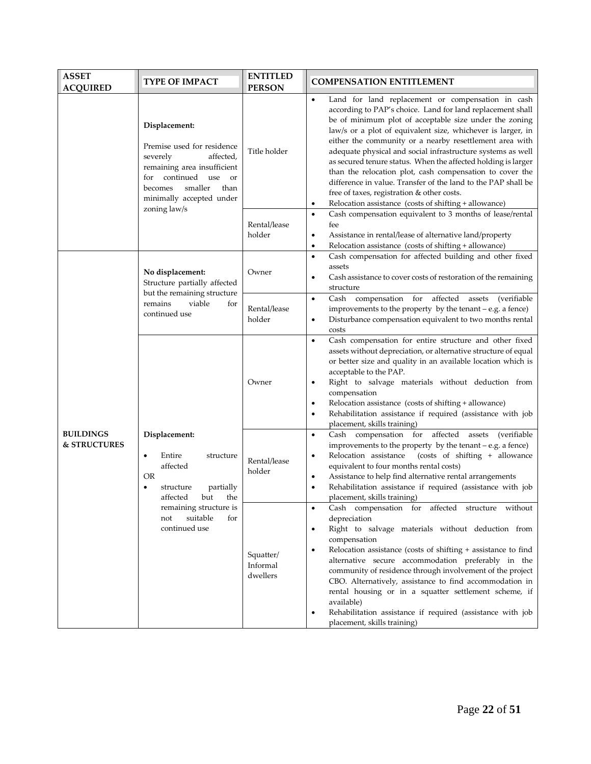| <b>ASSET</b><br><b>ACQUIRED</b>  | TYPE OF IMPACT                                                                                                                                                                                           | <b>ENTITLED</b><br><b>PERSON</b>  | <b>COMPENSATION ENTITLEMENT</b>                                                                                                                                                                                                                                                                                                                                                                                                                                                                                                                                                                                                                                                                   |
|----------------------------------|----------------------------------------------------------------------------------------------------------------------------------------------------------------------------------------------------------|-----------------------------------|---------------------------------------------------------------------------------------------------------------------------------------------------------------------------------------------------------------------------------------------------------------------------------------------------------------------------------------------------------------------------------------------------------------------------------------------------------------------------------------------------------------------------------------------------------------------------------------------------------------------------------------------------------------------------------------------------|
|                                  | Displacement:<br>Premise used for residence<br>severely<br>affected,<br>remaining area insufficient<br>for continued use<br>or<br>smaller<br>than<br>becomes<br>minimally accepted under<br>zoning law/s | Title holder                      | Land for land replacement or compensation in cash<br>$\bullet$<br>according to PAP's choice. Land for land replacement shall<br>be of minimum plot of acceptable size under the zoning<br>law/s or a plot of equivalent size, whichever is larger, in<br>either the community or a nearby resettlement area with<br>adequate physical and social infrastructure systems as well<br>as secured tenure status. When the affected holding is larger<br>than the relocation plot, cash compensation to cover the<br>difference in value. Transfer of the land to the PAP shall be<br>free of taxes, registration & other costs.<br>Relocation assistance (costs of shifting + allowance)<br>$\bullet$ |
|                                  |                                                                                                                                                                                                          | Rental/lease<br>holder            | Cash compensation equivalent to 3 months of lease/rental<br>$\bullet$<br>fee<br>Assistance in rental/lease of alternative land/property<br>٠<br>Relocation assistance (costs of shifting + allowance)<br>$\bullet$                                                                                                                                                                                                                                                                                                                                                                                                                                                                                |
|                                  | No displacement:<br>Structure partially affected                                                                                                                                                         | Owner                             | Cash compensation for affected building and other fixed<br>$\bullet$<br>assets<br>Cash assistance to cover costs of restoration of the remaining<br>٠<br>structure                                                                                                                                                                                                                                                                                                                                                                                                                                                                                                                                |
|                                  | but the remaining structure<br>remains<br>viable<br>for<br>continued use                                                                                                                                 | Rental/lease<br>holder            | Cash compensation for affected assets<br>(verifiable)<br>$\bullet$<br>improvements to the property by the tenant $-e.g.$ a fence)<br>Disturbance compensation equivalent to two months rental<br>$\bullet$<br>costs                                                                                                                                                                                                                                                                                                                                                                                                                                                                               |
|                                  | Displacement:<br>Entire<br>structure<br>affected<br>OR<br>partially<br>structure<br>$\bullet$<br>affected<br>but<br>the<br>remaining structure is<br>suitable<br>for<br>not<br>continued use             | Owner                             | Cash compensation for entire structure and other fixed<br>$\bullet$<br>assets without depreciation, or alternative structure of equal<br>or better size and quality in an available location which is<br>acceptable to the PAP.<br>Right to salvage materials without deduction from<br>$\bullet$<br>compensation<br>Relocation assistance (costs of shifting + allowance)<br>Rehabilitation assistance if required (assistance with job<br>٠<br>placement, skills training)                                                                                                                                                                                                                      |
| <b>BUILDINGS</b><br>& STRUCTURES |                                                                                                                                                                                                          | Rental/lease<br>holder            | Cash compensation for affected assets (verifiable<br>$\bullet$<br>improvements to the property by the tenant - e.g. a fence)<br>(costs of shifting + allowance<br>Relocation assistance<br>equivalent to four months rental costs)<br>Assistance to help find alternative rental arrangements<br>$\bullet$<br>Rehabilitation assistance if required (assistance with job<br>$\bullet$<br>placement, skills training)                                                                                                                                                                                                                                                                              |
|                                  |                                                                                                                                                                                                          | Squatter/<br>Informal<br>dwellers | Cash compensation for affected structure without<br>depreciation<br>Right to salvage materials without deduction from<br>٠<br>compensation<br>Relocation assistance (costs of shifting + assistance to find<br>٠<br>alternative secure accommodation preferably in the<br>community of residence through involvement of the project<br>CBO. Alternatively, assistance to find accommodation in<br>rental housing or in a squatter settlement scheme, if<br>available)<br>Rehabilitation assistance if required (assistance with job<br>placement, skills training)                                                                                                                                |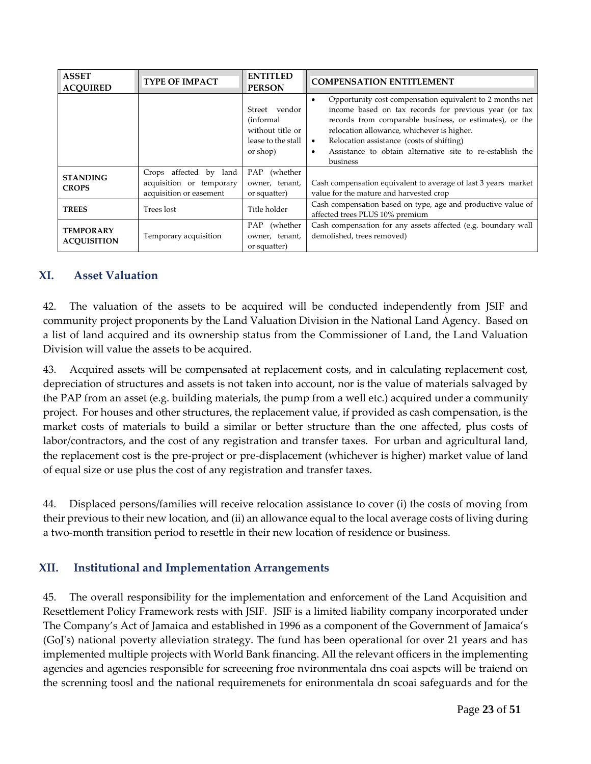| <b>ASSET</b><br><b>ACOUIRED</b>        | <b>TYPE OF IMPACT</b>                                                         | <b>ENTITLED</b><br><b>PERSON</b>                                                  | <b>COMPENSATION ENTITLEMENT</b>                                                                                                                                                                                                                                                                                                                                                         |
|----------------------------------------|-------------------------------------------------------------------------------|-----------------------------------------------------------------------------------|-----------------------------------------------------------------------------------------------------------------------------------------------------------------------------------------------------------------------------------------------------------------------------------------------------------------------------------------------------------------------------------------|
|                                        |                                                                               | Street vendor<br>(informal)<br>without title or<br>lease to the stall<br>or shop) | Opportunity cost compensation equivalent to 2 months net<br>$\bullet$<br>income based on tax records for previous year (or tax<br>records from comparable business, or estimates), or the<br>relocation allowance, whichever is higher.<br>Relocation assistance (costs of shifting)<br>$\bullet$<br>Assistance to obtain alternative site to re-establish the<br>$\bullet$<br>business |
| <b>STANDING</b><br><b>CROPS</b>        | Crops affected by land<br>acquisition or temporary<br>acquisition or easement | PAP (whether<br>owner, tenant,<br>or squatter)                                    | Cash compensation equivalent to average of last 3 years market<br>value for the mature and harvested crop                                                                                                                                                                                                                                                                               |
| <b>TREES</b>                           | Trees lost                                                                    | Title holder                                                                      | Cash compensation based on type, age and productive value of<br>affected trees PLUS 10% premium                                                                                                                                                                                                                                                                                         |
| <b>TEMPORARY</b><br><b>ACOUISITION</b> | Temporary acquisition                                                         | PAP (whether<br>owner, tenant,<br>or squatter)                                    | Cash compensation for any assets affected (e.g. boundary wall<br>demolished, trees removed)                                                                                                                                                                                                                                                                                             |

## **XI. Asset Valuation**

42. The valuation of the assets to be acquired will be conducted independently from JSIF and community project proponents by the Land Valuation Division in the National Land Agency. Based on a list of land acquired and its ownership status from the Commissioner of Land, the Land Valuation Division will value the assets to be acquired.

43. Acquired assets will be compensated at replacement costs, and in calculating replacement cost, depreciation of structures and assets is not taken into account, nor is the value of materials salvaged by the PAP from an asset (e.g. building materials, the pump from a well etc.) acquired under a community project. For houses and other structures, the replacement value, if provided as cash compensation, is the market costs of materials to build a similar or better structure than the one affected, plus costs of labor/contractors, and the cost of any registration and transfer taxes. For urban and agricultural land, the replacement cost is the pre-project or pre-displacement (whichever is higher) market value of land of equal size or use plus the cost of any registration and transfer taxes.

44. Displaced persons/families will receive relocation assistance to cover (i) the costs of moving from their previous to their new location, and (ii) an allowance equal to the local average costs of living during a two-month transition period to resettle in their new location of residence or business.

## **XII. Institutional and Implementation Arrangements**

45. The overall responsibility for the implementation and enforcement of the Land Acquisition and Resettlement Policy Framework rests with JSIF. JSIF is a limited liability company incorporated under The Company's Act of Jamaica and established in 1996 as a component of the Government of Jamaica's (GoJ's) national poverty alleviation strategy. The fund has been operational for over 21 years and has implemented multiple projects with World Bank financing. All the relevant officers in the implementing agencies and agencies responsible for screeening froe nvironmentala dns coai aspcts will be traiend on the screnning toosl and the national requiremenets for enironmentala dn scoai safeguards and for the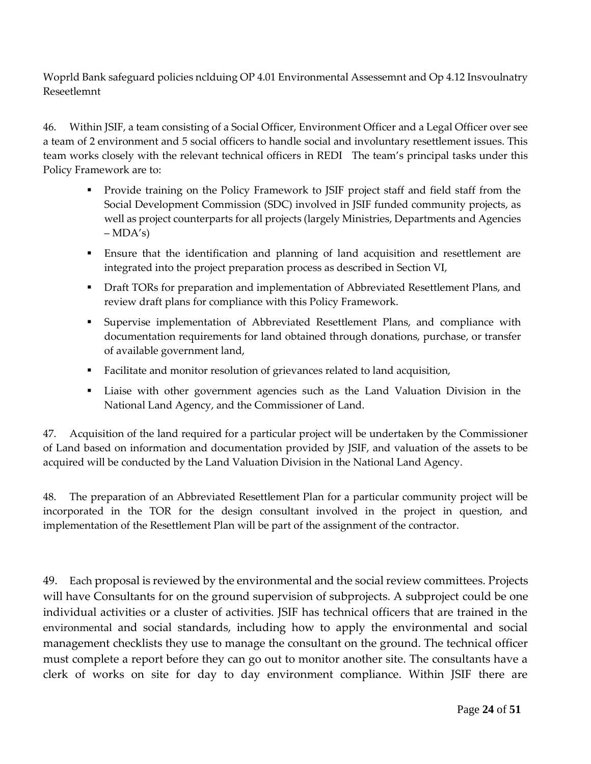Woprld Bank safeguard policies nclduing OP 4.01 Environmental Assessemnt and Op 4.12 Insvoulnatry Reseetlemnt

46. Within JSIF, a team consisting of a Social Officer, Environment Officer and a Legal Officer over see a team of 2 environment and 5 social officers to handle social and involuntary resettlement issues. This team works closely with the relevant technical officers in REDI The team's principal tasks under this Policy Framework are to:

- **Provide training on the Policy Framework to JSIF project staff and field staff from the** Social Development Commission (SDC) involved in JSIF funded community projects, as well as project counterparts for all projects (largely Ministries, Departments and Agencies  $-MDA's$
- Ensure that the identification and planning of land acquisition and resettlement are integrated into the project preparation process as described in Section VI,
- **Draft TORs for preparation and implementation of Abbreviated Resettlement Plans, and** review draft plans for compliance with this Policy Framework.
- Supervise implementation of Abbreviated Resettlement Plans, and compliance with documentation requirements for land obtained through donations, purchase, or transfer of available government land,
- Facilitate and monitor resolution of grievances related to land acquisition,
- Liaise with other government agencies such as the Land Valuation Division in the National Land Agency, and the Commissioner of Land.

47. Acquisition of the land required for a particular project will be undertaken by the Commissioner of Land based on information and documentation provided by JSIF, and valuation of the assets to be acquired will be conducted by the Land Valuation Division in the National Land Agency.

48. The preparation of an Abbreviated Resettlement Plan for a particular community project will be incorporated in the TOR for the design consultant involved in the project in question, and implementation of the Resettlement Plan will be part of the assignment of the contractor.

49. Each proposal is reviewed by the environmental and the social review committees. Projects will have Consultants for on the ground supervision of subprojects. A subproject could be one individual activities or a cluster of activities. JSIF has technical officers that are trained in the environmental and social standards, including how to apply the environmental and social management checklists they use to manage the consultant on the ground. The technical officer must complete a report before they can go out to monitor another site. The consultants have a clerk of works on site for day to day environment compliance. Within JSIF there are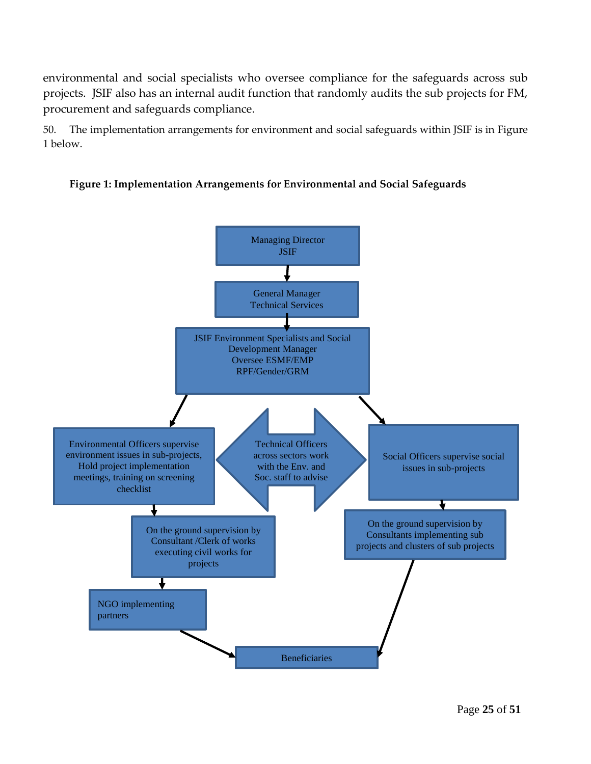environmental and social specialists who oversee compliance for the safeguards across sub projects. JSIF also has an internal audit function that randomly audits the sub projects for FM, procurement and safeguards compliance.

50. The implementation arrangements for environment and social safeguards within JSIF is in Figure 1 below.



#### **Figure 1: Implementation Arrangements for Environmental and Social Safeguards**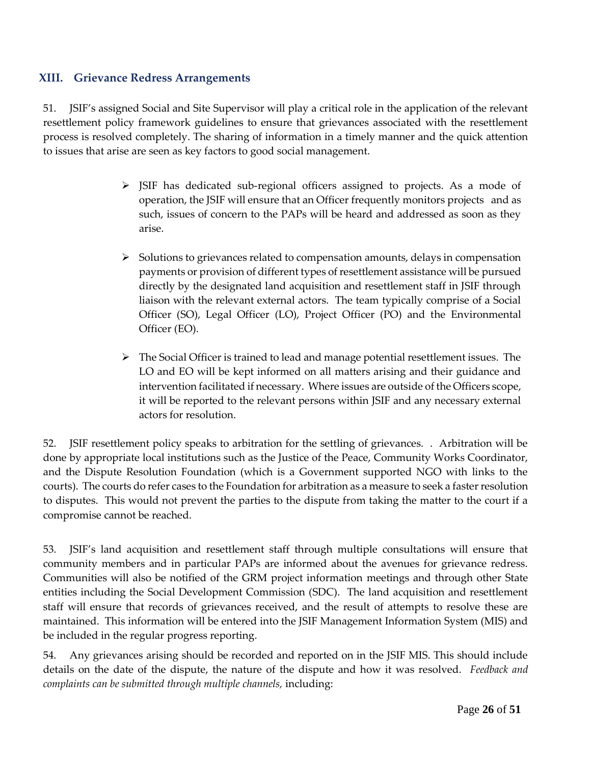## **XIII. Grievance Redress Arrangements**

51. JSIF's assigned Social and Site Supervisor will play a critical role in the application of the relevant resettlement policy framework guidelines to ensure that grievances associated with the resettlement process is resolved completely. The sharing of information in a timely manner and the quick attention to issues that arise are seen as key factors to good social management.

- $\triangleright$  JSIF has dedicated sub-regional officers assigned to projects. As a mode of operation, the JSIF will ensure that an Officer frequently monitors projects and as such, issues of concern to the PAPs will be heard and addressed as soon as they arise.
- $\triangleright$  Solutions to grievances related to compensation amounts, delays in compensation payments or provision of different types of resettlement assistance will be pursued directly by the designated land acquisition and resettlement staff in JSIF through liaison with the relevant external actors. The team typically comprise of a Social Officer (SO), Legal Officer (LO), Project Officer (PO) and the Environmental Officer (EO).
- $\triangleright$  The Social Officer is trained to lead and manage potential resettlement issues. The LO and EO will be kept informed on all matters arising and their guidance and intervention facilitated if necessary. Where issues are outside of the Officers scope, it will be reported to the relevant persons within JSIF and any necessary external actors for resolution.

52. JSIF resettlement policy speaks to arbitration for the settling of grievances. . Arbitration will be done by appropriate local institutions such as the Justice of the Peace, Community Works Coordinator, and the Dispute Resolution Foundation (which is a Government supported NGO with links to the courts). The courts do refer cases to the Foundation for arbitration as a measure to seek a faster resolution to disputes. This would not prevent the parties to the dispute from taking the matter to the court if a compromise cannot be reached.

53. JSIF's land acquisition and resettlement staff through multiple consultations will ensure that community members and in particular PAPs are informed about the avenues for grievance redress. Communities will also be notified of the GRM project information meetings and through other State entities including the Social Development Commission (SDC). The land acquisition and resettlement staff will ensure that records of grievances received, and the result of attempts to resolve these are maintained. This information will be entered into the JSIF Management Information System (MIS) and be included in the regular progress reporting.

54. Any grievances arising should be recorded and reported on in the JSIF MIS. This should include details on the date of the dispute, the nature of the dispute and how it was resolved. *Feedback and complaints can be submitted through multiple channels,* including: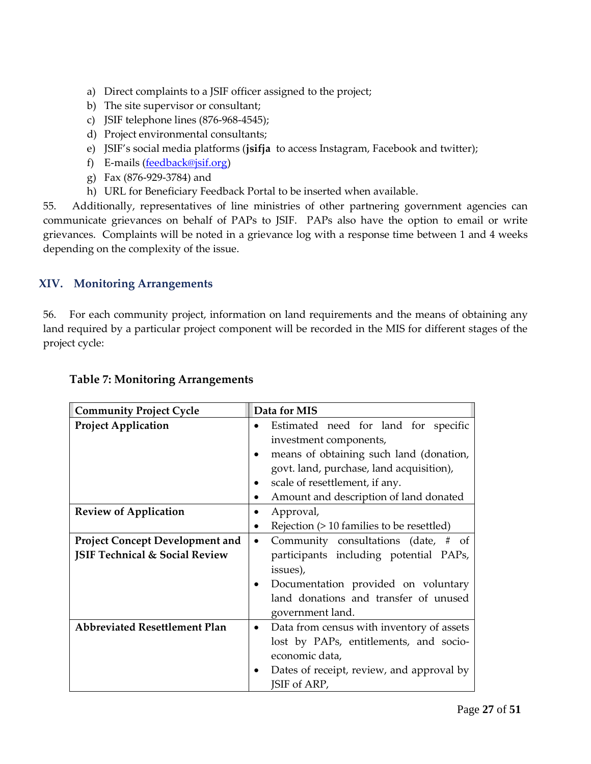- a) Direct complaints to a JSIF officer assigned to the project;
- b) The site supervisor or consultant;
- c) JSIF telephone lines (876-968-4545);
- d) Project environmental consultants;
- e) JSIF's social media platforms (**jsifja** to access Instagram, Facebook and twitter);
- f) E-mails [\(feedback@jsif.org\)](mailto:feedback@jsif.org)
- g) Fax (876-929-3784) and
- h) URL for Beneficiary Feedback Portal to be inserted when available.

55. Additionally, representatives of line ministries of other partnering government agencies can communicate grievances on behalf of PAPs to JSIF. PAPs also have the option to email or write grievances. Complaints will be noted in a grievance log with a response time between 1 and 4 weeks depending on the complexity of the issue.

## **XIV. Monitoring Arrangements**

56. For each community project, information on land requirements and the means of obtaining any land required by a particular project component will be recorded in the MIS for different stages of the project cycle:

| <b>Community Project Cycle</b>            | Data for MIS                                           |
|-------------------------------------------|--------------------------------------------------------|
| <b>Project Application</b>                | Estimated need for land for specific<br>$\bullet$      |
|                                           | investment components,                                 |
|                                           | means of obtaining such land (donation,<br>$\bullet$   |
|                                           | govt. land, purchase, land acquisition),               |
|                                           | scale of resettlement, if any.                         |
|                                           | Amount and description of land donated<br>$\bullet$    |
| <b>Review of Application</b>              | Approval,<br>$\bullet$                                 |
|                                           | Rejection (> 10 families to be resettled)<br>$\bullet$ |
| <b>Project Concept Development and</b>    | Community consultations (date, # of<br>$\bullet$       |
| <b>JSIF Technical &amp; Social Review</b> | participants including potential PAPs,                 |
|                                           | issues),                                               |
|                                           | Documentation provided on voluntary                    |
|                                           | land donations and transfer of unused                  |
|                                           | government land.                                       |
| <b>Abbreviated Resettlement Plan</b>      | Data from census with inventory of assets<br>$\bullet$ |
|                                           | lost by PAPs, entitlements, and socio-                 |
|                                           | economic data,                                         |
|                                           | Dates of receipt, review, and approval by              |
|                                           | JSIF of ARP,                                           |

#### **Table 7: Monitoring Arrangements**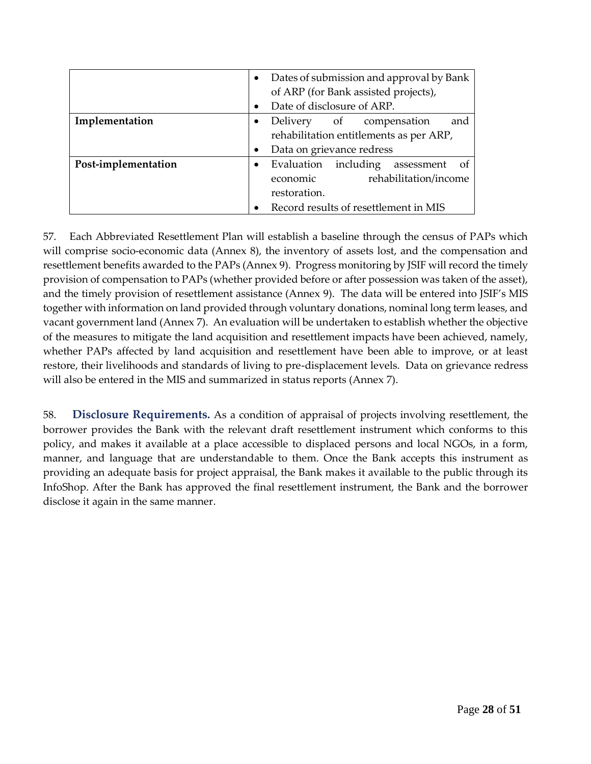|                     | $\bullet$ | Dates of submission and approval by Bank   |  |
|---------------------|-----------|--------------------------------------------|--|
|                     |           | of ARP (for Bank assisted projects),       |  |
|                     | $\bullet$ | Date of disclosure of ARP.                 |  |
| Implementation      | ٠         | and<br>Delivery of compensation            |  |
|                     |           | rehabilitation entitlements as per ARP,    |  |
|                     | $\bullet$ | Data on grievance redress                  |  |
| Post-implementation | $\bullet$ | Evaluation including<br>assessment<br>- of |  |
|                     |           | rehabilitation/income<br>economic          |  |
|                     |           | restoration.                               |  |
|                     |           | Record results of resettlement in MIS      |  |

57. Each Abbreviated Resettlement Plan will establish a baseline through the census of PAPs which will comprise socio-economic data (Annex 8), the inventory of assets lost, and the compensation and resettlement benefits awarded to the PAPs (Annex 9). Progress monitoring by JSIF will record the timely provision of compensation to PAPs (whether provided before or after possession was taken of the asset), and the timely provision of resettlement assistance (Annex 9). The data will be entered into JSIF's MIS together with information on land provided through voluntary donations, nominal long term leases, and vacant government land (Annex 7). An evaluation will be undertaken to establish whether the objective of the measures to mitigate the land acquisition and resettlement impacts have been achieved, namely, whether PAPs affected by land acquisition and resettlement have been able to improve, or at least restore, their livelihoods and standards of living to pre-displacement levels. Data on grievance redress will also be entered in the MIS and summarized in status reports (Annex 7).

58. **Disclosure Requirements.** As a condition of appraisal of projects involving resettlement, the borrower provides the Bank with the relevant draft resettlement instrument which conforms to this policy, and makes it available at a place accessible to displaced persons and local NGOs, in a form, manner, and language that are understandable to them. Once the Bank accepts this instrument as providing an adequate basis for project appraisal, the Bank makes it available to the public through its InfoShop. After the Bank has approved the final resettlement instrument, the Bank and the borrower disclose it again in the same manner.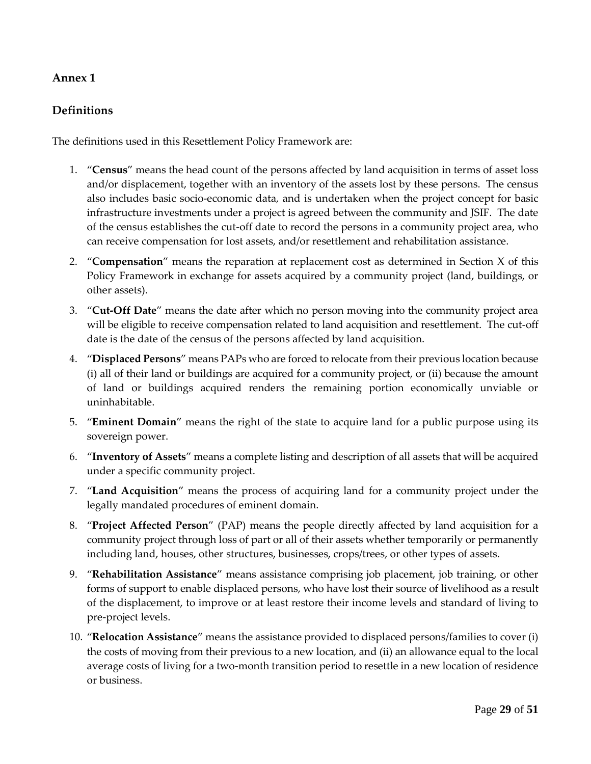## **Definitions**

The definitions used in this Resettlement Policy Framework are:

- 1. "**Census**" means the head count of the persons affected by land acquisition in terms of asset loss and/or displacement, together with an inventory of the assets lost by these persons. The census also includes basic socio-economic data, and is undertaken when the project concept for basic infrastructure investments under a project is agreed between the community and JSIF. The date of the census establishes the cut-off date to record the persons in a community project area, who can receive compensation for lost assets, and/or resettlement and rehabilitation assistance.
- 2. "**Compensation**" means the reparation at replacement cost as determined in Section X of this Policy Framework in exchange for assets acquired by a community project (land, buildings, or other assets).
- 3. "**Cut-Off Date**" means the date after which no person moving into the community project area will be eligible to receive compensation related to land acquisition and resettlement. The cut-off date is the date of the census of the persons affected by land acquisition.
- 4. "**Displaced Persons**" means PAPs who are forced to relocate from their previous location because (i) all of their land or buildings are acquired for a community project, or (ii) because the amount of land or buildings acquired renders the remaining portion economically unviable or uninhabitable.
- 5. "**Eminent Domain**" means the right of the state to acquire land for a public purpose using its sovereign power.
- 6. "**Inventory of Assets**" means a complete listing and description of all assets that will be acquired under a specific community project.
- 7. "**Land Acquisition**" means the process of acquiring land for a community project under the legally mandated procedures of eminent domain.
- 8. "**Project Affected Person**" (PAP) means the people directly affected by land acquisition for a community project through loss of part or all of their assets whether temporarily or permanently including land, houses, other structures, businesses, crops/trees, or other types of assets.
- 9. "**Rehabilitation Assistance**" means assistance comprising job placement, job training, or other forms of support to enable displaced persons, who have lost their source of livelihood as a result of the displacement, to improve or at least restore their income levels and standard of living to pre-project levels.
- 10. "**Relocation Assistance**" means the assistance provided to displaced persons/families to cover (i) the costs of moving from their previous to a new location, and (ii) an allowance equal to the local average costs of living for a two-month transition period to resettle in a new location of residence or business.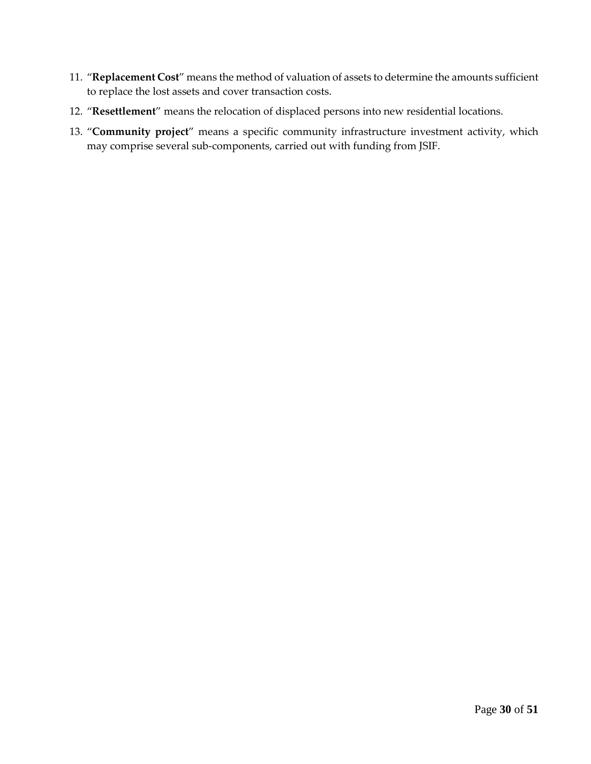- 11. "**Replacement Cost**" means the method of valuation of assets to determine the amounts sufficient to replace the lost assets and cover transaction costs.
- 12. "**Resettlement**" means the relocation of displaced persons into new residential locations.
- 13. "**Community project**" means a specific community infrastructure investment activity, which may comprise several sub-components, carried out with funding from JSIF.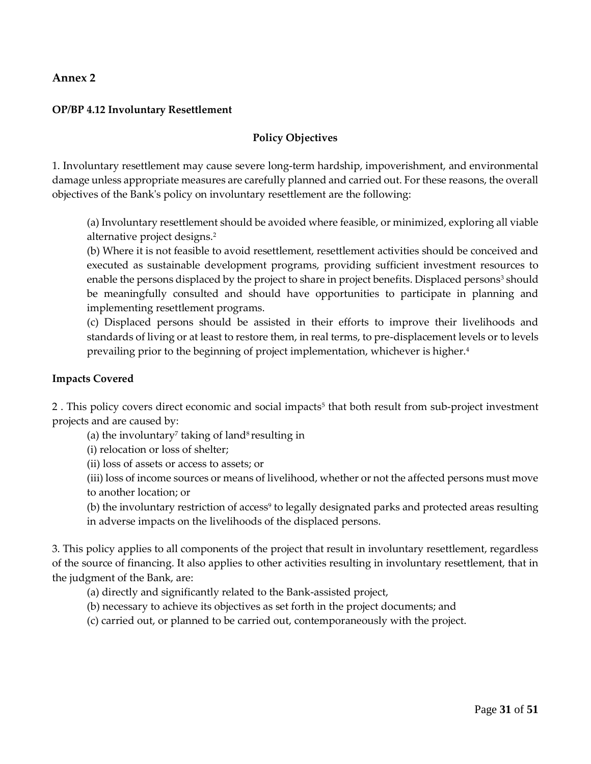#### **OP/BP 4.12 Involuntary Resettlement**

#### **Policy Objectives**

1. Involuntary resettlement may cause severe long-term hardship, impoverishment, and environmental damage unless appropriate measures are carefully planned and carried out. For these reasons, the overall objectives of the Bank's policy on involuntary resettlement are the following:

(a) Involuntary resettlement should be avoided where feasible, or minimized, exploring all viable alternative project designs.<sup>2</sup>

(b) Where it is not feasible to avoid resettlement, resettlement activities should be conceived and executed as sustainable development programs, providing sufficient investment resources to enable the persons displaced by the project to share in project benefits. Displaced persons<sup>3</sup> should be meaningfully consulted and should have opportunities to participate in planning and implementing resettlement programs.

(c) Displaced persons should be assisted in their efforts to improve their livelihoods and standards of living or at least to restore them, in real terms, to pre-displacement levels or to levels prevailing prior to the beginning of project implementation, whichever is higher.<sup>4</sup>

#### **Impacts Covered**

2. This policy covers direct economic and social impacts<sup>5</sup> that both result from sub-project investment projects and are caused by:

(a) the involuntary<sup>7</sup> taking of land<sup>8</sup> resulting in

(i) relocation or loss of shelter;

(ii) loss of assets or access to assets; or

(iii) loss of income sources or means of livelihood, whether or not the affected persons must move to another location; or

(b) the involuntary restriction of access<sup>9</sup> to legally designated parks and protected areas resulting in adverse impacts on the livelihoods of the displaced persons.

3. This policy applies to all components of the project that result in involuntary resettlement, regardless of the source of financing. It also applies to other activities resulting in involuntary resettlement, that in the judgment of the Bank, are:

(a) directly and significantly related to the Bank-assisted project,

(b) necessary to achieve its objectives as set forth in the project documents; and

(c) carried out, or planned to be carried out, contemporaneously with the project.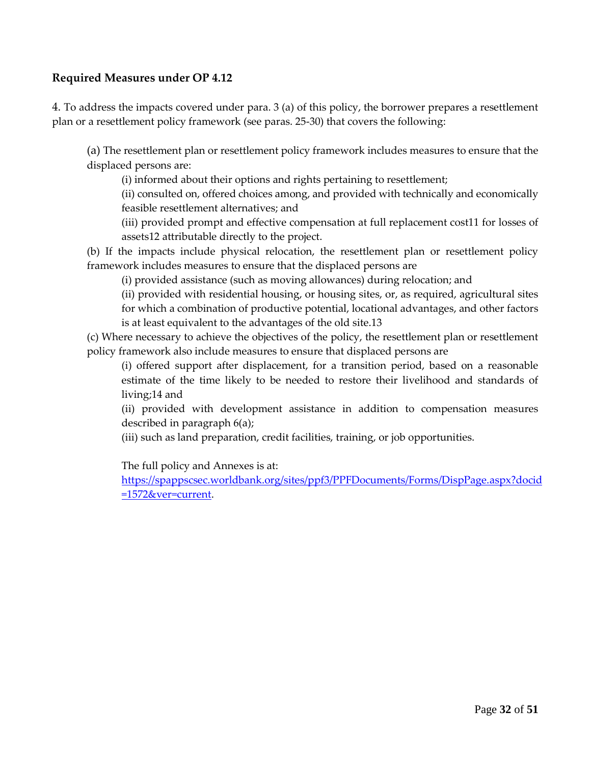## **Required Measures under OP 4.12**

4. To address the impacts covered under para. 3 (a) of this policy, the borrower prepares a resettlement plan or a resettlement policy framework (see paras. 25-30) that covers the following:

(a) The resettlement plan or resettlement policy framework includes measures to ensure that the displaced persons are:

(i) informed about their options and rights pertaining to resettlement;

(ii) consulted on, offered choices among, and provided with technically and economically feasible resettlement alternatives; and

(iii) provided prompt and effective compensation at full replacement cost11 for losses of assets12 attributable directly to the project.

(b) If the impacts include physical relocation, the resettlement plan or resettlement policy framework includes measures to ensure that the displaced persons are

(i) provided assistance (such as moving allowances) during relocation; and

(ii) provided with residential housing, or housing sites, or, as required, agricultural sites for which a combination of productive potential, locational advantages, and other factors is at least equivalent to the advantages of the old site.13

(c) Where necessary to achieve the objectives of the policy, the resettlement plan or resettlement policy framework also include measures to ensure that displaced persons are

(i) offered support after displacement, for a transition period, based on a reasonable estimate of the time likely to be needed to restore their livelihood and standards of living;14 and

(ii) provided with development assistance in addition to compensation measures described in paragraph 6(a);

(iii) such as land preparation, credit facilities, training, or job opportunities.

The full policy and Annexes is at:

[https://spappscsec.worldbank.org/sites/ppf3/PPFDocuments/Forms/DispPage.aspx?docid](https://spappscsec.worldbank.org/sites/ppf3/PPFDocuments/Forms/DispPage.aspx?docid=1572&ver=current) [=1572&ver=current.](https://spappscsec.worldbank.org/sites/ppf3/PPFDocuments/Forms/DispPage.aspx?docid=1572&ver=current)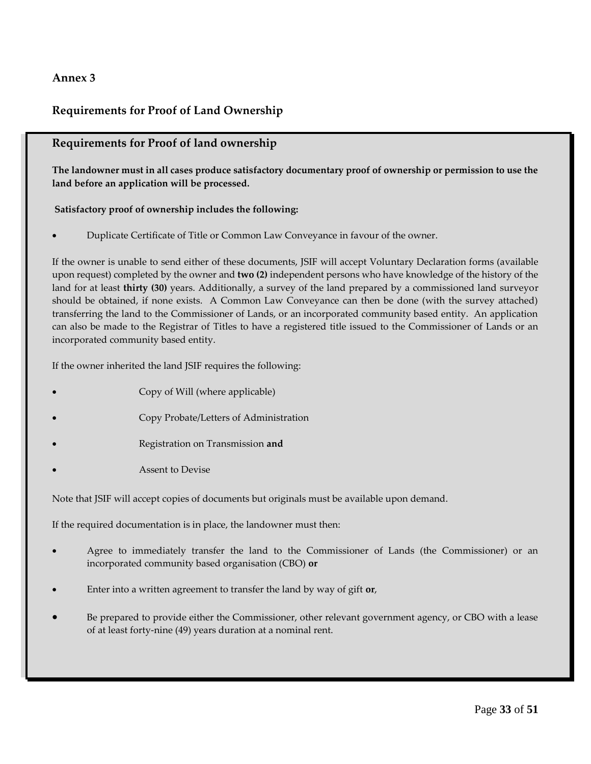## **Requirements for Proof of Land Ownership**

#### **Requirements for Proof of land ownership**

**The landowner must in all cases produce satisfactory documentary proof of ownership or permission to use the land before an application will be processed.**

#### **Satisfactory proof of ownership includes the following:**

Duplicate Certificate of Title or Common Law Conveyance in favour of the owner.

If the owner is unable to send either of these documents, JSIF will accept Voluntary Declaration forms (available upon request) completed by the owner and **two (2)** independent persons who have knowledge of the history of the land for at least **thirty (30)** years. Additionally, a survey of the land prepared by a commissioned land surveyor should be obtained, if none exists. A Common Law Conveyance can then be done (with the survey attached) transferring the land to the Commissioner of Lands, or an incorporated community based entity. An application can also be made to the Registrar of Titles to have a registered title issued to the Commissioner of Lands or an incorporated community based entity.

If the owner inherited the land JSIF requires the following:

- Copy of Will (where applicable)
- Copy Probate/Letters of Administration
- Registration on Transmission **and**
- Assent to Devise

Note that JSIF will accept copies of documents but originals must be available upon demand.

If the required documentation is in place, the landowner must then:

- Agree to immediately transfer the land to the Commissioner of Lands (the Commissioner) or an incorporated community based organisation (CBO) **or**
- Enter into a written agreement to transfer the land by way of gift **or**,
- Be prepared to provide either the Commissioner, other relevant government agency, or CBO with a lease of at least forty-nine (49) years duration at a nominal rent.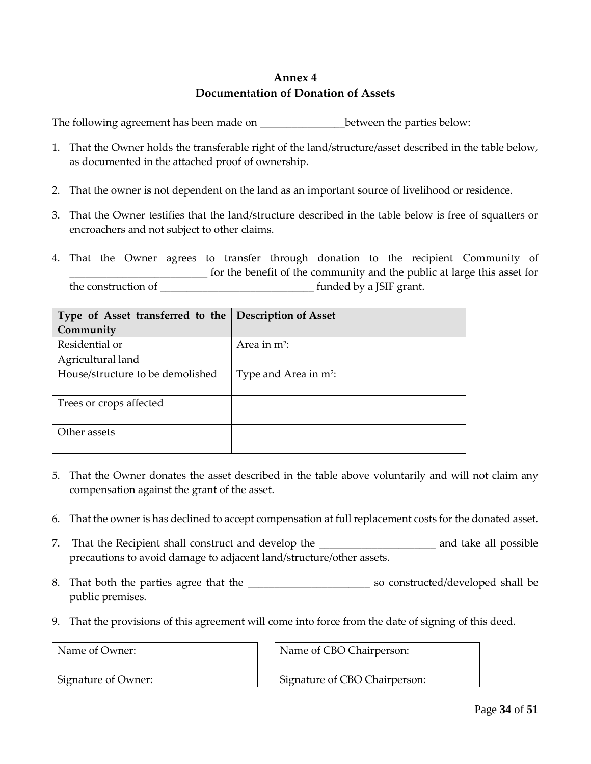## **Annex 4 Documentation of Donation of Assets**

The following agreement has been made on \_\_\_\_\_\_\_\_\_\_\_\_\_\_\_\_\_\_\_between the parties below:

- 1. That the Owner holds the transferable right of the land/structure/asset described in the table below, as documented in the attached proof of ownership.
- 2. That the owner is not dependent on the land as an important source of livelihood or residence.
- 3. That the Owner testifies that the land/structure described in the table below is free of squatters or encroachers and not subject to other claims.
- 4. That the Owner agrees to transfer through donation to the recipient Community of \_\_\_\_\_\_\_\_\_\_\_\_\_\_\_\_\_\_\_\_\_\_\_\_\_\_ for the benefit of the community and the public at large this asset for the construction of \_\_\_\_\_\_\_\_\_\_\_\_\_\_\_\_\_\_\_\_\_\_\_\_\_\_\_\_\_ funded by a JSIF grant.

| Type of Asset transferred to the Description of Asset |                          |  |
|-------------------------------------------------------|--------------------------|--|
| Community                                             |                          |  |
| Residential or                                        | Area in $m^2$ :          |  |
| Agricultural land                                     |                          |  |
| House/structure to be demolished                      | Type and Area in $m^2$ : |  |
|                                                       |                          |  |
| Trees or crops affected                               |                          |  |
|                                                       |                          |  |
| Other assets                                          |                          |  |
|                                                       |                          |  |

- 5. That the Owner donates the asset described in the table above voluntarily and will not claim any compensation against the grant of the asset.
- 6. That the owner is has declined to accept compensation at full replacement costs for the donated asset.
- 7. That the Recipient shall construct and develop the \_\_\_\_\_\_\_\_\_\_\_\_\_\_\_\_\_\_\_\_\_\_\_\_\_\_ and take all possible precautions to avoid damage to adjacent land/structure/other assets.
- 8. That both the parties agree that the \_\_\_\_\_\_\_\_\_\_\_\_\_\_\_\_\_\_\_\_\_\_\_\_\_\_\_\_\_\_\_\_\_ so constructed/developed shall be public premises.
- 9. That the provisions of this agreement will come into force from the date of signing of this deed.

Name of Owner: Name of CBO Chairperson:

Signature of Owner:  $\parallel$  | Signature of CBO Chairperson: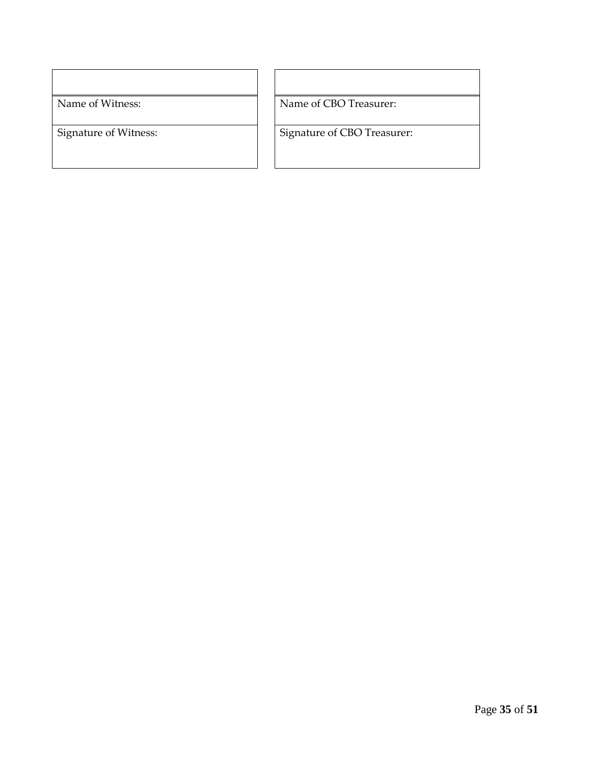Name of Witness: Name of CBO Treasurer:

Signature of Witness: Signature of CBO Treasurer: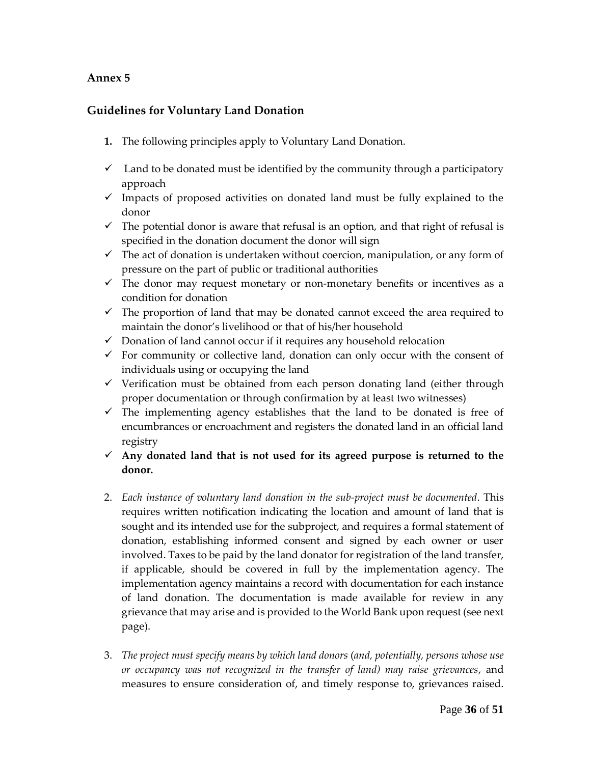## **Guidelines for Voluntary Land Donation**

- **1.** The following principles apply to Voluntary Land Donation.
- $\checkmark$  Land to be donated must be identified by the community through a participatory approach
- $\checkmark$  Impacts of proposed activities on donated land must be fully explained to the donor
- $\checkmark$  The potential donor is aware that refusal is an option, and that right of refusal is specified in the donation document the donor will sign
- $\checkmark$  The act of donation is undertaken without coercion, manipulation, or any form of pressure on the part of public or traditional authorities
- $\checkmark$  The donor may request monetary or non-monetary benefits or incentives as a condition for donation
- $\checkmark$  The proportion of land that may be donated cannot exceed the area required to maintain the donor's livelihood or that of his/her household
- $\checkmark$  Donation of land cannot occur if it requires any household relocation
- $\checkmark$  For community or collective land, donation can only occur with the consent of individuals using or occupying the land
- $\checkmark$  Verification must be obtained from each person donating land (either through proper documentation or through confirmation by at least two witnesses)
- $\checkmark$  The implementing agency establishes that the land to be donated is free of encumbrances or encroachment and registers the donated land in an official land registry
- **Any donated land that is not used for its agreed purpose is returned to the donor.**
- 2. *Each instance of voluntary land donation in the sub-project must be documented*. This requires written notification indicating the location and amount of land that is sought and its intended use for the subproject, and requires a formal statement of donation, establishing informed consent and signed by each owner or user involved. Taxes to be paid by the land donator for registration of the land transfer, if applicable, should be covered in full by the implementation agency. The implementation agency maintains a record with documentation for each instance of land donation. The documentation is made available for review in any grievance that may arise and is provided to the World Bank upon request (see next page).
- 3. *The project must specify means by which land donors* (*and, potentially, persons whose use or occupancy was not recognized in the transfer of land) may raise grievances*, and measures to ensure consideration of, and timely response to, grievances raised.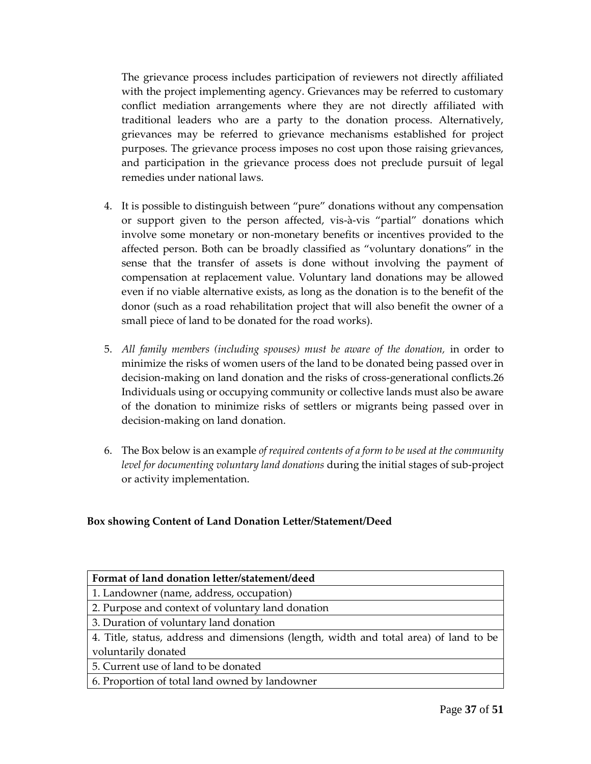The grievance process includes participation of reviewers not directly affiliated with the project implementing agency. Grievances may be referred to customary conflict mediation arrangements where they are not directly affiliated with traditional leaders who are a party to the donation process. Alternatively, grievances may be referred to grievance mechanisms established for project purposes. The grievance process imposes no cost upon those raising grievances, and participation in the grievance process does not preclude pursuit of legal remedies under national laws.

- 4. It is possible to distinguish between "pure" donations without any compensation or support given to the person affected, vis-à-vis "partial" donations which involve some monetary or non-monetary benefits or incentives provided to the affected person. Both can be broadly classified as "voluntary donations" in the sense that the transfer of assets is done without involving the payment of compensation at replacement value. Voluntary land donations may be allowed even if no viable alternative exists, as long as the donation is to the benefit of the donor (such as a road rehabilitation project that will also benefit the owner of a small piece of land to be donated for the road works).
- 5. *All family members (including spouses) must be aware of the donation,* in order to minimize the risks of women users of the land to be donated being passed over in decision-making on land donation and the risks of cross-generational conflicts.26 Individuals using or occupying community or collective lands must also be aware of the donation to minimize risks of settlers or migrants being passed over in decision-making on land donation.
- 6. The Box below is an example *of required contents of a form to be used at the community level for documenting voluntary land donations* during the initial stages of sub-project or activity implementation.

#### **Box showing Content of Land Donation Letter/Statement/Deed**

| Format of land donation letter/statement/deed                                         |
|---------------------------------------------------------------------------------------|
| 1. Landowner (name, address, occupation)                                              |
| 2. Purpose and context of voluntary land donation                                     |
| 3. Duration of voluntary land donation                                                |
| 4. Title, status, address and dimensions (length, width and total area) of land to be |
| voluntarily donated                                                                   |
| 5. Current use of land to be donated                                                  |
| 6. Proportion of total land owned by landowner                                        |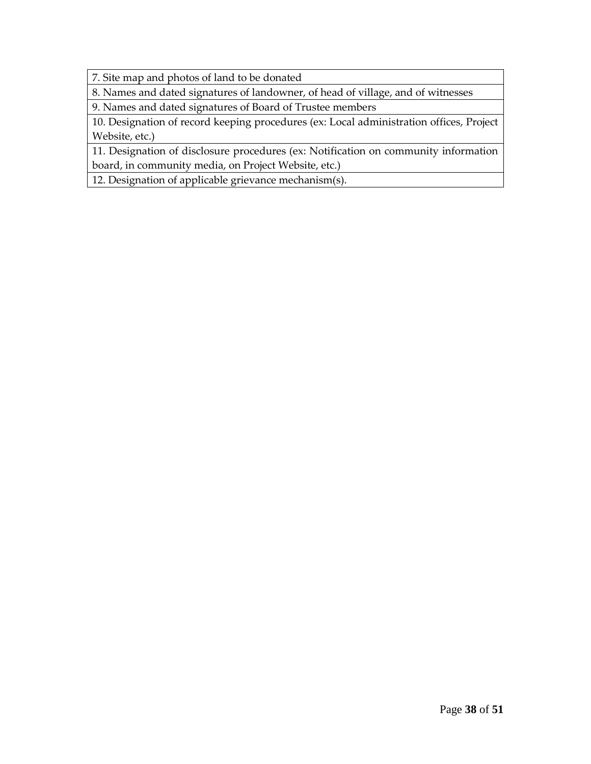7. Site map and photos of land to be donated

8. Names and dated signatures of landowner, of head of village, and of witnesses

9. Names and dated signatures of Board of Trustee members

10. Designation of record keeping procedures (ex: Local administration offices, Project Website, etc.)

11. Designation of disclosure procedures (ex: Notification on community information board, in community media, on Project Website, etc.)

12. Designation of applicable grievance mechanism(s).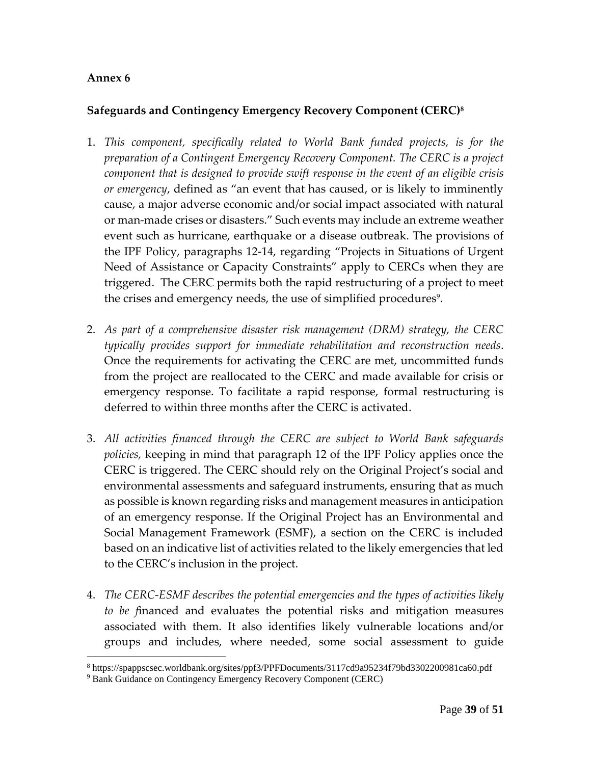## **Safeguards and Contingency Emergency Recovery Component (CERC) 8**

- 1. *This component, specifically related to World Bank funded projects, is for the preparation of a Contingent Emergency Recovery Component. The CERC is a project component that is designed to provide swift response in the event of an eligible crisis or emergency*, defined as "an event that has caused, or is likely to imminently cause, a major adverse economic and/or social impact associated with natural or man-made crises or disasters." Such events may include an extreme weather event such as hurricane, earthquake or a disease outbreak. The provisions of the IPF Policy, paragraphs 12-14, regarding "Projects in Situations of Urgent Need of Assistance or Capacity Constraints" apply to CERCs when they are triggered. The CERC permits both the rapid restructuring of a project to meet the crises and emergency needs, the use of simplified procedures<sup>9</sup>.
- 2. *As part of a comprehensive disaster risk management (DRM) strategy, the CERC typically provides support for immediate rehabilitation and reconstruction needs*. Once the requirements for activating the CERC are met, uncommitted funds from the project are reallocated to the CERC and made available for crisis or emergency response. To facilitate a rapid response, formal restructuring is deferred to within three months after the CERC is activated.
- 3. *All activities financed through the CERC are subject to World Bank safeguards policies,* keeping in mind that paragraph 12 of the IPF Policy applies once the CERC is triggered. The CERC should rely on the Original Project's social and environmental assessments and safeguard instruments, ensuring that as much as possible is known regarding risks and management measures in anticipation of an emergency response. If the Original Project has an Environmental and Social Management Framework (ESMF), a section on the CERC is included based on an indicative list of activities related to the likely emergencies that led to the CERC's inclusion in the project.
- 4. *The CERC-ESMF describes the potential emergencies and the types of activities likely to be f*inanced and evaluates the potential risks and mitigation measures associated with them. It also identifies likely vulnerable locations and/or groups and includes, where needed, some social assessment to guide

 $\overline{a}$ <sup>8</sup> https://spappscsec.worldbank.org/sites/ppf3/PPFDocuments/3117cd9a95234f79bd3302200981ca60.pdf

<sup>9</sup> Bank Guidance on Contingency Emergency Recovery Component (CERC)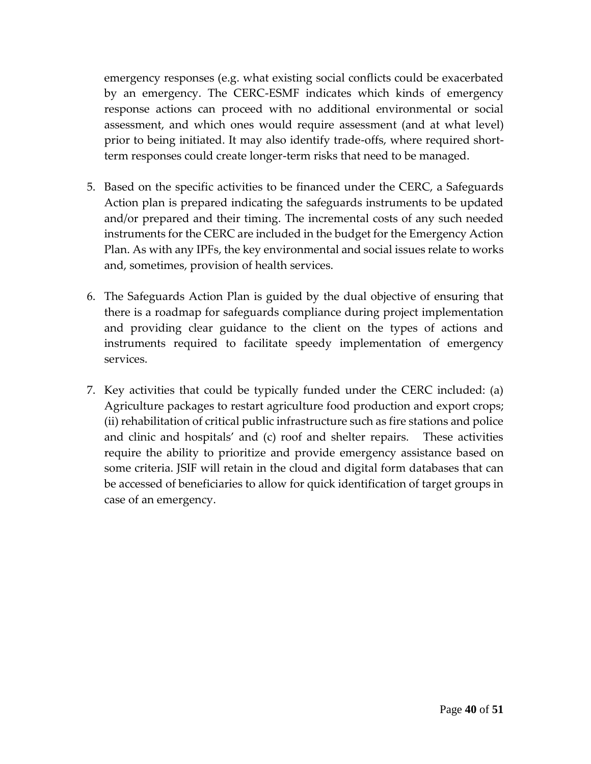emergency responses (e.g. what existing social conflicts could be exacerbated by an emergency. The CERC-ESMF indicates which kinds of emergency response actions can proceed with no additional environmental or social assessment, and which ones would require assessment (and at what level) prior to being initiated. It may also identify trade-offs, where required shortterm responses could create longer-term risks that need to be managed.

- 5. Based on the specific activities to be financed under the CERC, a Safeguards Action plan is prepared indicating the safeguards instruments to be updated and/or prepared and their timing. The incremental costs of any such needed instruments for the CERC are included in the budget for the Emergency Action Plan. As with any IPFs, the key environmental and social issues relate to works and, sometimes, provision of health services.
- 6. The Safeguards Action Plan is guided by the dual objective of ensuring that there is a roadmap for safeguards compliance during project implementation and providing clear guidance to the client on the types of actions and instruments required to facilitate speedy implementation of emergency services.
- 7. Key activities that could be typically funded under the CERC included: (a) Agriculture packages to restart agriculture food production and export crops; (ii) rehabilitation of critical public infrastructure such as fire stations and police and clinic and hospitals' and (c) roof and shelter repairs. These activities require the ability to prioritize and provide emergency assistance based on some criteria. JSIF will retain in the cloud and digital form databases that can be accessed of beneficiaries to allow for quick identification of target groups in case of an emergency.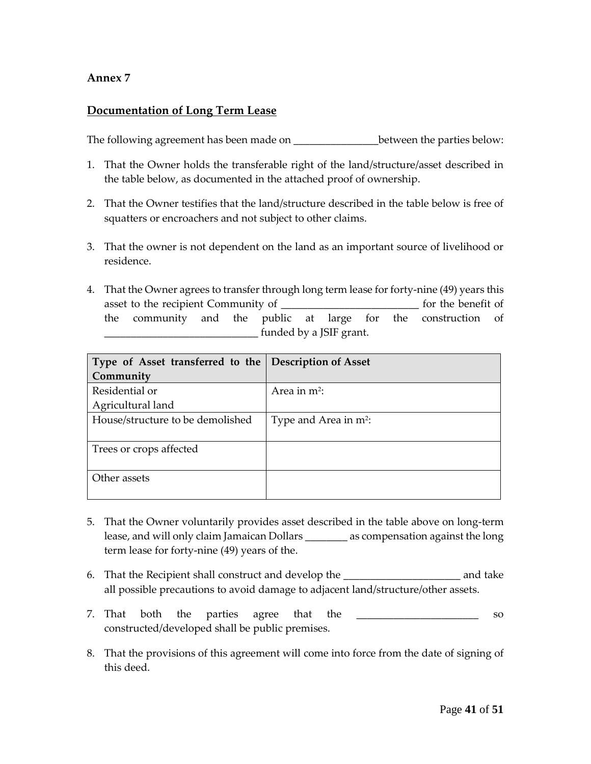### **Documentation of Long Term Lease**

The following agreement has been made on  $\qquad \qquad$  between the parties below:

- 1. That the Owner holds the transferable right of the land/structure/asset described in the table below, as documented in the attached proof of ownership.
- 2. That the Owner testifies that the land/structure described in the table below is free of squatters or encroachers and not subject to other claims.
- 3. That the owner is not dependent on the land as an important source of livelihood or residence.
- 4. That the Owner agrees to transfer through long term lease for forty-nine (49) years this asset to the recipient Community of \_\_\_\_\_\_\_\_\_\_\_\_\_\_\_\_\_\_\_\_\_\_\_\_\_\_ for the benefit of the community and the public at large for the construction of \_\_\_\_\_\_\_\_\_\_\_\_\_\_\_\_\_\_\_\_\_\_\_\_\_\_\_\_\_ funded by a JSIF grant.

| Type of Asset transferred to the Description of Asset |                          |
|-------------------------------------------------------|--------------------------|
| Community                                             |                          |
| Residential or                                        | Area in $m^2$ :          |
| Agricultural land                                     |                          |
| House/structure to be demolished                      | Type and Area in $m^2$ : |
|                                                       |                          |
| Trees or crops affected                               |                          |
|                                                       |                          |
| Other assets                                          |                          |
|                                                       |                          |

- 5. That the Owner voluntarily provides asset described in the table above on long-term lease, and will only claim Jamaican Dollars \_\_\_\_\_\_\_\_ as compensation against the long term lease for forty-nine (49) years of the.
- 6. That the Recipient shall construct and develop the \_\_\_\_\_\_\_\_\_\_\_\_\_\_\_\_\_\_\_\_\_\_ and take all possible precautions to avoid damage to adjacent land/structure/other assets.
- 7. That both the parties agree that the \_\_\_\_\_\_\_\_\_\_\_\_\_\_\_\_\_\_\_\_\_\_\_\_\_ so constructed/developed shall be public premises.
- 8. That the provisions of this agreement will come into force from the date of signing of this deed.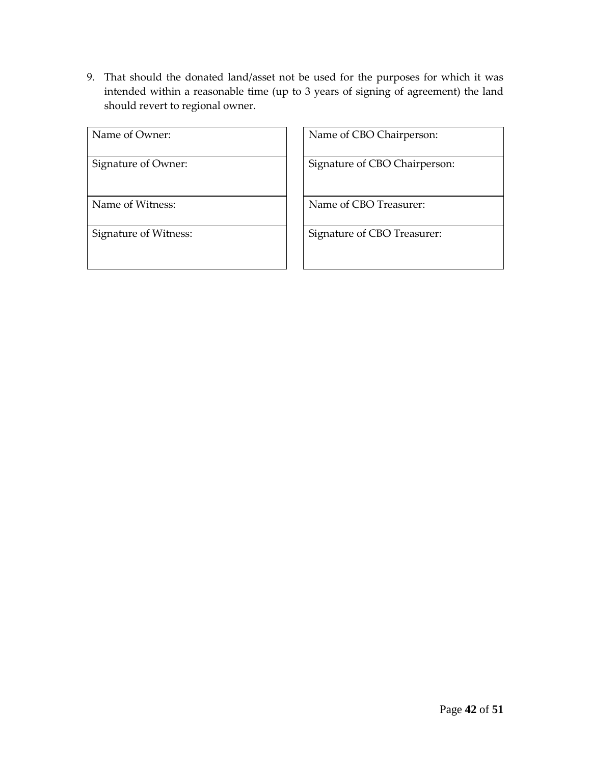9. That should the donated land/asset not be used for the purposes for which it was intended within a reasonable time (up to 3 years of signing of agreement) the land should revert to regional owner.

| Name of Owner:        |
|-----------------------|
| Signature of Owner:   |
| Name of Witness:      |
| Signature of Witness: |

Name of CBO Chairperson:

Signature of CBO Chairperson:

Name of CBO Treasurer:

Signature of CBO Treasurer: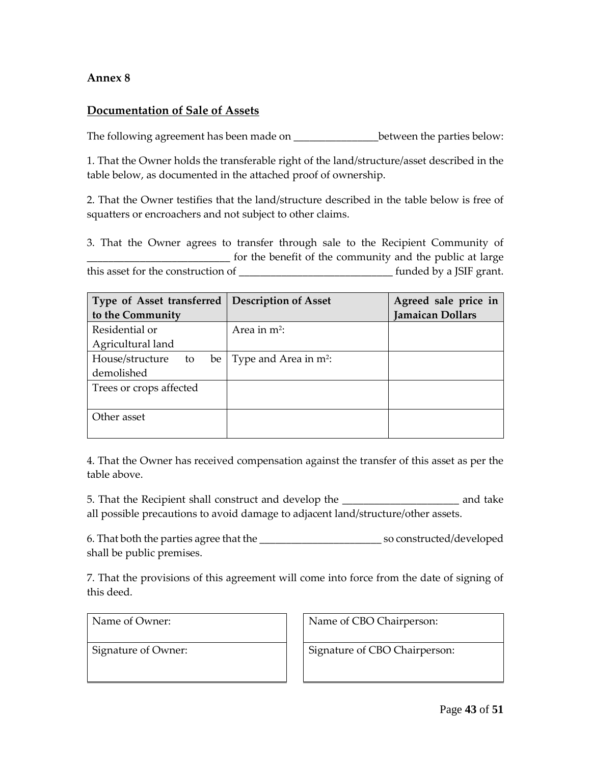#### **Documentation of Sale of Assets**

The following agreement has been made on \_\_\_\_\_\_\_\_\_\_\_\_\_\_\_\_\_\_\_between the parties below:

1. That the Owner holds the transferable right of the land/structure/asset described in the table below, as documented in the attached proof of ownership.

2. That the Owner testifies that the land/structure described in the table below is free of squatters or encroachers and not subject to other claims.

3. That the Owner agrees to transfer through sale to the Recipient Community of \_\_\_\_\_\_\_\_\_\_\_\_\_\_\_\_\_\_\_\_\_\_\_\_\_\_\_ for the benefit of the community and the public at large this asset for the construction of \_\_\_\_\_\_\_\_\_\_\_\_\_\_\_\_\_\_\_\_\_\_\_\_\_\_\_\_\_ funded by a JSIF grant.

| Type of Asset transferred     | <b>Description of Asset</b>       | Agreed sale price in    |  |  |  |  |
|-------------------------------|-----------------------------------|-------------------------|--|--|--|--|
| to the Community              |                                   | <b>Jamaican Dollars</b> |  |  |  |  |
| Residential or                | Area in $m^2$ :                   |                         |  |  |  |  |
| Agricultural land             |                                   |                         |  |  |  |  |
| House/structure<br>to<br>be l | Type and Area in m <sup>2</sup> : |                         |  |  |  |  |
| demolished                    |                                   |                         |  |  |  |  |
| Trees or crops affected       |                                   |                         |  |  |  |  |
|                               |                                   |                         |  |  |  |  |
| Other asset                   |                                   |                         |  |  |  |  |
|                               |                                   |                         |  |  |  |  |

4. That the Owner has received compensation against the transfer of this asset as per the table above.

5. That the Recipient shall construct and develop the \_\_\_\_\_\_\_\_\_\_\_\_\_\_\_\_\_\_\_\_\_\_ and take all possible precautions to avoid damage to adjacent land/structure/other assets.

6. That both the parties agree that the \_\_\_\_\_\_\_\_\_\_\_\_\_\_\_\_\_\_\_\_\_\_\_ so constructed/developed shall be public premises.

7. That the provisions of this agreement will come into force from the date of signing of this deed.

Name of Owner: Name of CBO Chairperson:

Signature of Owner: <br> Signature of CBO Chairperson: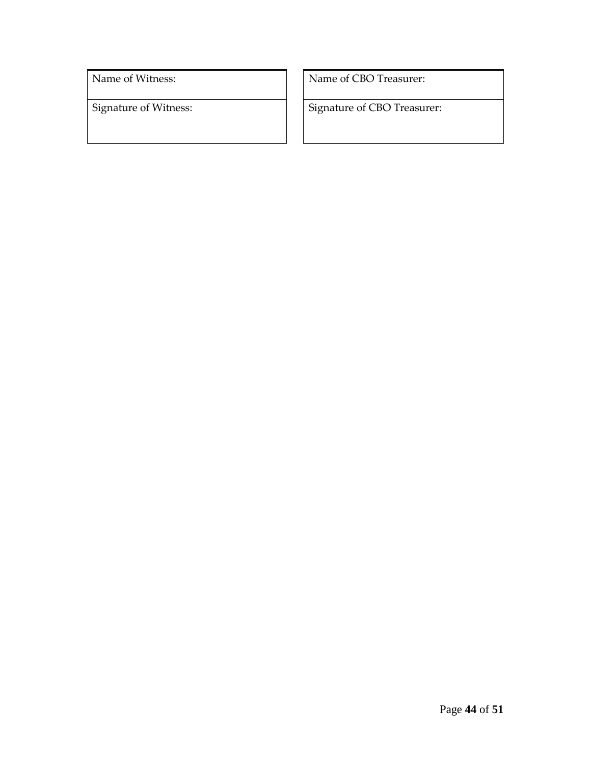Name of Witness: Name of CBO Treasurer:

Signature of Witness: Signature of CBO Treasurer: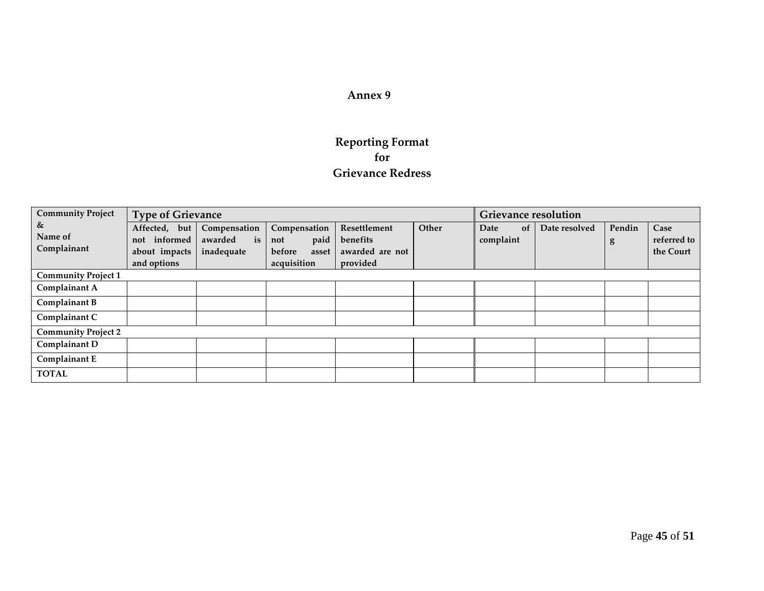## **Reporting Format for Grievance Redress**

| <b>Community Project</b>    | <b>Type of Grievance</b>                                         |                                             |                                                               | <b>Grievance resolution</b>                             |       |                         |               |             |                                  |
|-----------------------------|------------------------------------------------------------------|---------------------------------------------|---------------------------------------------------------------|---------------------------------------------------------|-------|-------------------------|---------------|-------------|----------------------------------|
| &<br>Name of<br>Complainant | Affected, but<br>informed<br>not<br>about impacts<br>and options | Compensation<br>is<br>awarded<br>inadequate | Compensation<br>paid<br>not<br>before<br>asset<br>acquisition | Resettlement<br>benefits<br>awarded are not<br>provided | Other | Date<br>of<br>complaint | Date resolved | Pendin<br>g | Case<br>referred to<br>the Court |
| <b>Community Project 1</b>  |                                                                  |                                             |                                                               |                                                         |       |                         |               |             |                                  |
| Complainant A               |                                                                  |                                             |                                                               |                                                         |       |                         |               |             |                                  |
| Complainant B               |                                                                  |                                             |                                                               |                                                         |       |                         |               |             |                                  |
| Complainant C               |                                                                  |                                             |                                                               |                                                         |       |                         |               |             |                                  |
| <b>Community Project 2</b>  |                                                                  |                                             |                                                               |                                                         |       |                         |               |             |                                  |
| Complainant D               |                                                                  |                                             |                                                               |                                                         |       |                         |               |             |                                  |
| Complainant E               |                                                                  |                                             |                                                               |                                                         |       |                         |               |             |                                  |
| <b>TOTAL</b>                |                                                                  |                                             |                                                               |                                                         |       |                         |               |             |                                  |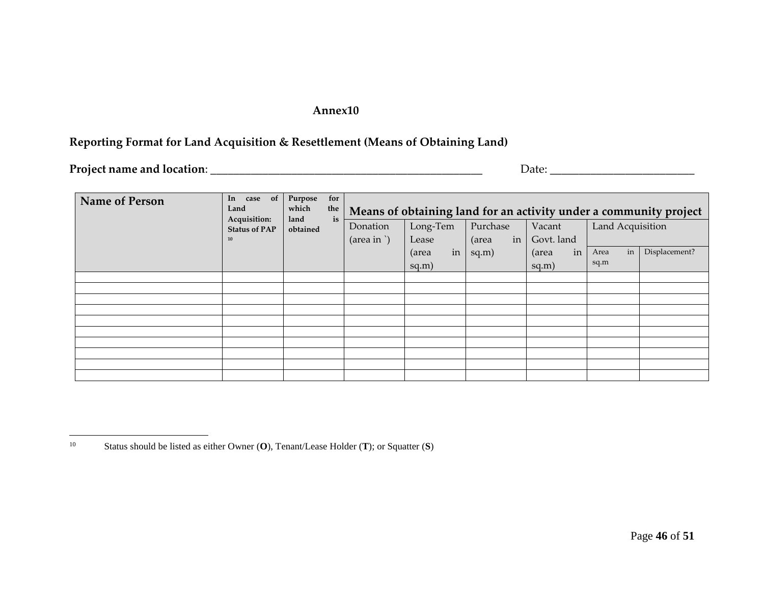## **Reporting Format for Land Acquisition & Resettlement (Means of Obtaining Land)**

**Project name and location**: \_\_\_\_\_\_\_\_\_\_\_\_\_\_\_\_\_\_\_\_\_\_\_\_\_\_\_\_\_\_\_\_\_\_\_\_\_\_\_\_\_\_\_\_\_\_\_ Date: \_\_\_\_\_\_\_\_\_\_\_\_\_\_\_\_\_\_\_\_\_\_\_\_\_

| <b>Name of Person</b> | In case of<br>Land<br>Acquisition: | for<br>Purpose<br>which<br>the<br>is<br>land | Means of obtaining land for an activity under a community project |             |             |             |                  |               |  |  |  |  |
|-----------------------|------------------------------------|----------------------------------------------|-------------------------------------------------------------------|-------------|-------------|-------------|------------------|---------------|--|--|--|--|
|                       | <b>Status of PAP</b><br>10         | obtained                                     | Donation                                                          | Long-Tem    | Purchase    | Vacant      | Land Acquisition |               |  |  |  |  |
|                       |                                    |                                              | $(\text{area in }')$                                              | Lease       | in<br>(area | Govt. land  |                  |               |  |  |  |  |
|                       |                                    |                                              |                                                                   | in<br>(area | sq.m)       | in<br>(area | in<br>Area       | Displacement? |  |  |  |  |
|                       |                                    |                                              |                                                                   | sq.m)       |             | sq.m)       | sq.m             |               |  |  |  |  |
|                       |                                    |                                              |                                                                   |             |             |             |                  |               |  |  |  |  |
|                       |                                    |                                              |                                                                   |             |             |             |                  |               |  |  |  |  |
|                       |                                    |                                              |                                                                   |             |             |             |                  |               |  |  |  |  |
|                       |                                    |                                              |                                                                   |             |             |             |                  |               |  |  |  |  |
|                       |                                    |                                              |                                                                   |             |             |             |                  |               |  |  |  |  |
|                       |                                    |                                              |                                                                   |             |             |             |                  |               |  |  |  |  |
|                       |                                    |                                              |                                                                   |             |             |             |                  |               |  |  |  |  |
|                       |                                    |                                              |                                                                   |             |             |             |                  |               |  |  |  |  |
|                       |                                    |                                              |                                                                   |             |             |             |                  |               |  |  |  |  |
|                       |                                    |                                              |                                                                   |             |             |             |                  |               |  |  |  |  |

 $10\,$ <sup>10</sup> Status should be listed as either Owner (**O**), Tenant/Lease Holder (**T**); or Squatter (**S**)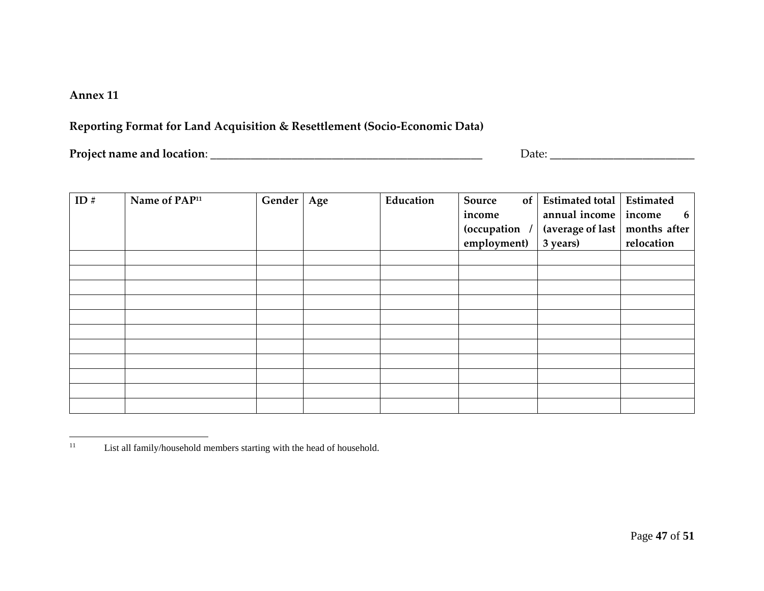## **Reporting Format for Land Acquisition & Resettlement (Socio-Economic Data)**

**Project name and location**: \_\_\_\_\_\_\_\_\_\_\_\_\_\_\_\_\_\_\_\_\_\_\_\_\_\_\_\_\_\_\_\_\_\_\_\_\_\_\_\_\_\_\_\_\_\_\_ Date: \_\_\_\_\_\_\_\_\_\_\_\_\_\_\_\_\_\_\_\_\_\_\_\_\_

| ID # | Name of PAP <sup>11</sup> | Gender | Age | Education | Source<br>of <sub>1</sub><br>income<br><i>(occupation</i><br>employment) | Estimated total<br>annual income income<br>(average of last<br>3 years) | Estimated<br>6<br>months after<br>relocation |
|------|---------------------------|--------|-----|-----------|--------------------------------------------------------------------------|-------------------------------------------------------------------------|----------------------------------------------|
|      |                           |        |     |           |                                                                          |                                                                         |                                              |
|      |                           |        |     |           |                                                                          |                                                                         |                                              |
|      |                           |        |     |           |                                                                          |                                                                         |                                              |
|      |                           |        |     |           |                                                                          |                                                                         |                                              |
|      |                           |        |     |           |                                                                          |                                                                         |                                              |
|      |                           |        |     |           |                                                                          |                                                                         |                                              |
|      |                           |        |     |           |                                                                          |                                                                         |                                              |
|      |                           |        |     |           |                                                                          |                                                                         |                                              |
|      |                           |        |     |           |                                                                          |                                                                         |                                              |
|      |                           |        |     |           |                                                                          |                                                                         |                                              |
|      |                           |        |     |           |                                                                          |                                                                         |                                              |

 $\overline{a}$ <sup>11</sup> List all family/household members starting with the head of household.